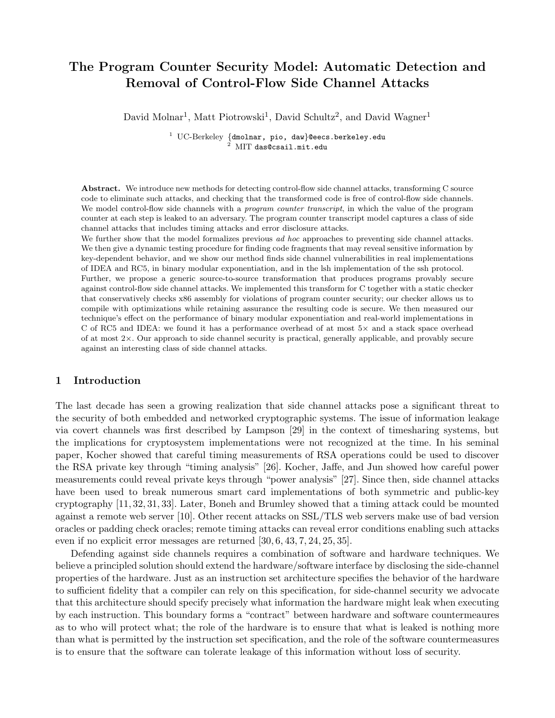# The Program Counter Security Model: Automatic Detection and Removal of Control-Flow Side Channel Attacks

David Molnar<sup>1</sup>, Matt Piotrowski<sup>1</sup>, David Schultz<sup>2</sup>, and David Wagner<sup>1</sup>

 $1$  UC-Berkeley {dmolnar, pio, daw}@eecs.berkeley.edu  $^2$  MIT das@csail.mit.edu

Abstract. We introduce new methods for detecting control-flow side channel attacks, transforming C source code to eliminate such attacks, and checking that the transformed code is free of control-flow side channels. We model control-flow side channels with a *program counter transcript*, in which the value of the program counter at each step is leaked to an adversary. The program counter transcript model captures a class of side channel attacks that includes timing attacks and error disclosure attacks.

We further show that the model formalizes previous ad hoc approaches to preventing side channel attacks. We then give a dynamic testing procedure for finding code fragments that may reveal sensitive information by key-dependent behavior, and we show our method finds side channel vulnerabilities in real implementations of IDEA and RC5, in binary modular exponentiation, and in the lsh implementation of the ssh protocol. Further, we propose a generic source-to-source transformation that produces programs provably secure against control-flow side channel attacks. We implemented this transform for C together with a static checker that conservatively checks x86 assembly for violations of program counter security; our checker allows us to compile with optimizations while retaining assurance the resulting code is secure. We then measured our technique's effect on the performance of binary modular exponentiation and real-world implementations in C of RC5 and IDEA: we found it has a performance overhead of at most 5× and a stack space overhead of at most 2×. Our approach to side channel security is practical, generally applicable, and provably secure against an interesting class of side channel attacks.

### 1 Introduction

The last decade has seen a growing realization that side channel attacks pose a significant threat to the security of both embedded and networked cryptographic systems. The issue of information leakage via covert channels was first described by Lampson [29] in the context of timesharing systems, but the implications for cryptosystem implementations were not recognized at the time. In his seminal paper, Kocher showed that careful timing measurements of RSA operations could be used to discover the RSA private key through "timing analysis" [26]. Kocher, Jaffe, and Jun showed how careful power measurements could reveal private keys through "power analysis" [27]. Since then, side channel attacks have been used to break numerous smart card implementations of both symmetric and public-key cryptography [11, 32, 31, 33]. Later, Boneh and Brumley showed that a timing attack could be mounted against a remote web server [10]. Other recent attacks on SSL/TLS web servers make use of bad version oracles or padding check oracles; remote timing attacks can reveal error conditions enabling such attacks even if no explicit error messages are returned [30, 6, 43, 7, 24, 25, 35].

Defending against side channels requires a combination of software and hardware techniques. We believe a principled solution should extend the hardware/software interface by disclosing the side-channel properties of the hardware. Just as an instruction set architecture specifies the behavior of the hardware to sufficient fidelity that a compiler can rely on this specification, for side-channel security we advocate that this architecture should specify precisely what information the hardware might leak when executing by each instruction. This boundary forms a "contract" between hardware and software countermeaures as to who will protect what; the role of the hardware is to ensure that what is leaked is nothing more than what is permitted by the instruction set specification, and the role of the software countermeasures is to ensure that the software can tolerate leakage of this information without loss of security.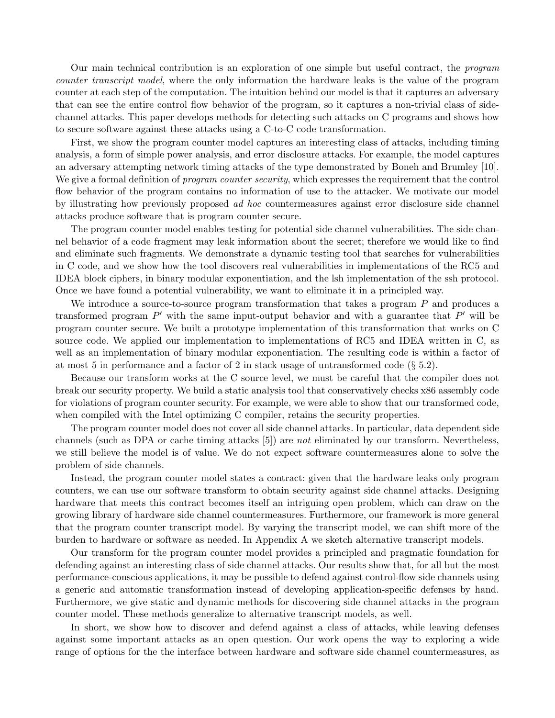Our main technical contribution is an exploration of one simple but useful contract, the program counter transcript model, where the only information the hardware leaks is the value of the program counter at each step of the computation. The intuition behind our model is that it captures an adversary that can see the entire control flow behavior of the program, so it captures a non-trivial class of sidechannel attacks. This paper develops methods for detecting such attacks on C programs and shows how to secure software against these attacks using a C-to-C code transformation.

First, we show the program counter model captures an interesting class of attacks, including timing analysis, a form of simple power analysis, and error disclosure attacks. For example, the model captures an adversary attempting network timing attacks of the type demonstrated by Boneh and Brumley [10]. We give a formal definition of *program counter security*, which expresses the requirement that the control flow behavior of the program contains no information of use to the attacker. We motivate our model by illustrating how previously proposed *ad hoc* countermeasures against error disclosure side channel attacks produce software that is program counter secure.

The program counter model enables testing for potential side channel vulnerabilities. The side channel behavior of a code fragment may leak information about the secret; therefore we would like to find and eliminate such fragments. We demonstrate a dynamic testing tool that searches for vulnerabilities in C code, and we show how the tool discovers real vulnerabilities in implementations of the RC5 and IDEA block ciphers, in binary modular exponentiation, and the lsh implementation of the ssh protocol. Once we have found a potential vulnerability, we want to eliminate it in a principled way.

We introduce a source-to-source program transformation that takes a program  $P$  and produces a transformed program  $P'$  with the same input-output behavior and with a guarantee that  $P'$  will be program counter secure. We built a prototype implementation of this transformation that works on C source code. We applied our implementation to implementations of RC5 and IDEA written in C, as well as an implementation of binary modular exponentiation. The resulting code is within a factor of at most 5 in performance and a factor of 2 in stack usage of untransformed code  $(\S 5.2)$ .

Because our transform works at the C source level, we must be careful that the compiler does not break our security property. We build a static analysis tool that conservatively checks x86 assembly code for violations of program counter security. For example, we were able to show that our transformed code, when compiled with the Intel optimizing C compiler, retains the security properties.

The program counter model does not cover all side channel attacks. In particular, data dependent side channels (such as DPA or cache timing attacks [5]) are not eliminated by our transform. Nevertheless, we still believe the model is of value. We do not expect software countermeasures alone to solve the problem of side channels.

Instead, the program counter model states a contract: given that the hardware leaks only program counters, we can use our software transform to obtain security against side channel attacks. Designing hardware that meets this contract becomes itself an intriguing open problem, which can draw on the growing library of hardware side channel countermeasures. Furthermore, our framework is more general that the program counter transcript model. By varying the transcript model, we can shift more of the burden to hardware or software as needed. In Appendix A we sketch alternative transcript models.

Our transform for the program counter model provides a principled and pragmatic foundation for defending against an interesting class of side channel attacks. Our results show that, for all but the most performance-conscious applications, it may be possible to defend against control-flow side channels using a generic and automatic transformation instead of developing application-specific defenses by hand. Furthermore, we give static and dynamic methods for discovering side channel attacks in the program counter model. These methods generalize to alternative transcript models, as well.

In short, we show how to discover and defend against a class of attacks, while leaving defenses against some important attacks as an open question. Our work opens the way to exploring a wide range of options for the the interface between hardware and software side channel countermeasures, as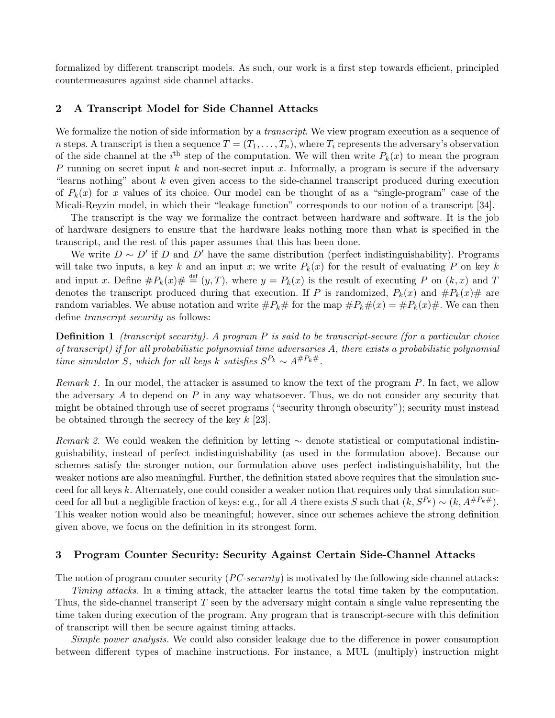formalized by different transcript models. As such, our work is a first step towards efficient, principled countermeasures against side channel attacks.

### 2 A Transcript Model for Side Channel Attacks

We formalize the notion of side information by a *transcript*. We view program execution as a sequence of n steps. A transcript is then a sequence  $T = (T_1, \ldots, T_n)$ , where  $T_i$  represents the adversary's observation of the side channel at the  $i^{\text{th}}$  step of the computation. We will then write  $P_k(x)$  to mean the program P running on secret input k and non-secret input x. Informally, a program is secure if the adversary "learns nothing" about  $k$  even given access to the side-channel transcript produced during execution of  $P_k(x)$  for x values of its choice. Our model can be thought of as a "single-program" case of the Micali-Reyzin model, in which their "leakage function" corresponds to our notion of a transcript [34].

The transcript is the way we formalize the contract between hardware and software. It is the job of hardware designers to ensure that the hardware leaks nothing more than what is specified in the transcript, and the rest of this paper assumes that this has been done.

We write  $D \sim D'$  if D and  $\overline{D'}$  have the same distribution (perfect indistinguishability). Programs will take two inputs, a key k and an input x; we write  $P_k(x)$  for the result of evaluating P on key k and input x. Define  $\#P_k(x)\# \stackrel{\text{def}}{=} (y,T)$ , where  $y = P_k(x)$  is the result of executing P on  $(k, x)$  and T denotes the transcript produced during that execution. If P is randomized,  $P_k(x)$  and  $\#P_k(x)\#$  are random variables. We abuse notation and write  $\#P_k\#$  for the map  $\#P_k\#(x) = \#P_k(x)\#$ . We can then define transcript security as follows:

**Definition 1** (transcript security). A program  $P$  is said to be transcript-secure (for a particular choice of transcript) if for all probabilistic polynomial time adversaries A, there exists a probabilistic polynomial time simulator S, which for all keys k satisfies  $S^{P_k} \sim A^{\#P_k \#}$ .

Remark 1. In our model, the attacker is assumed to know the text of the program P. In fact, we allow the adversary  $A$  to depend on  $P$  in any way whatsoever. Thus, we do not consider any security that might be obtained through use of secret programs ("security through obscurity"); security must instead be obtained through the secrecy of the key  $k$  [23].

Remark 2. We could weaken the definition by letting  $\sim$  denote statistical or computational indistinguishability, instead of perfect indistinguishability (as used in the formulation above). Because our schemes satisfy the stronger notion, our formulation above uses perfect indistinguishability, but the weaker notions are also meaningful. Further, the definition stated above requires that the simulation succeed for all keys k. Alternately, one could consider a weaker notion that requires only that simulation succeed for all but a negligible fraction of keys: e.g., for all A there exists S such that  $(k, S^{P_k}) \sim (k, A^{\#P_k\#})$ . This weaker notion would also be meaningful; however, since our schemes achieve the strong definition given above, we focus on the definition in its strongest form.

#### 3 Program Counter Security: Security Against Certain Side-Channel Attacks

The notion of program counter security (*PC-security*) is motivated by the following side channel attacks:

Timing attacks. In a timing attack, the attacker learns the total time taken by the computation. Thus, the side-channel transcript T seen by the adversary might contain a single value representing the time taken during execution of the program. Any program that is transcript-secure with this definition of transcript will then be secure against timing attacks.

Simple power analysis. We could also consider leakage due to the difference in power consumption between different types of machine instructions. For instance, a MUL (multiply) instruction might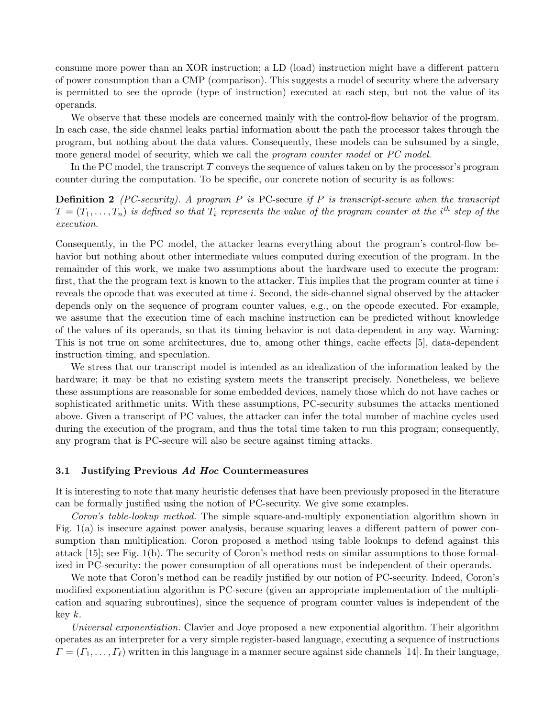consume more power than an XOR instruction; a LD (load) instruction might have a different pattern of power consumption than a CMP (comparison). This suggests a model of security where the adversary is permitted to see the opcode (type of instruction) executed at each step, but not the value of its operands.

We observe that these models are concerned mainly with the control-flow behavior of the program. In each case, the side channel leaks partial information about the path the processor takes through the program, but nothing about the data values. Consequently, these models can be subsumed by a single, more general model of security, which we call the *program counter model* or PC model.

In the PC model, the transcript  $T$  conveys the sequence of values taken on by the processor's program counter during the computation. To be specific, our concrete notion of security is as follows:

**Definition 2** (PC-security). A program P is PC-secure if P is transcript-secure when the transcript  $T=(T_1,\ldots, T_n)$  is defined so that  $T_i$  represents the value of the program counter at the i<sup>th</sup> step of the execution.

Consequently, in the PC model, the attacker learns everything about the program's control-flow behavior but nothing about other intermediate values computed during execution of the program. In the remainder of this work, we make two assumptions about the hardware used to execute the program: first, that the the program text is known to the attacker. This implies that the program counter at time  $i$ reveals the opcode that was executed at time i. Second, the side-channel signal observed by the attacker depends only on the sequence of program counter values, e.g., on the opcode executed. For example, we assume that the execution time of each machine instruction can be predicted without knowledge of the values of its operands, so that its timing behavior is not data-dependent in any way. Warning: This is not true on some architectures, due to, among other things, cache effects [5], data-dependent instruction timing, and speculation.

We stress that our transcript model is intended as an idealization of the information leaked by the hardware; it may be that no existing system meets the transcript precisely. Nonetheless, we believe these assumptions are reasonable for some embedded devices, namely those which do not have caches or sophisticated arithmetic units. With these assumptions, PC-security subsumes the attacks mentioned above. Given a transcript of PC values, the attacker can infer the total number of machine cycles used during the execution of the program, and thus the total time taken to run this program; consequently, any program that is PC-secure will also be secure against timing attacks.

#### 3.1 Justifying Previous Ad Hoc Countermeasures

It is interesting to note that many heuristic defenses that have been previously proposed in the literature can be formally justified using the notion of PC-security. We give some examples.

Coron's table-lookup method. The simple square-and-multiply exponentiation algorithm shown in Fig. 1(a) is insecure against power analysis, because squaring leaves a different pattern of power consumption than multiplication. Coron proposed a method using table lookups to defend against this attack [15]; see Fig. 1(b). The security of Coron's method rests on similar assumptions to those formalized in PC-security: the power consumption of all operations must be independent of their operands.

We note that Coron's method can be readily justified by our notion of PC-security. Indeed, Coron's modified exponentiation algorithm is PC-secure (given an appropriate implementation of the multiplication and squaring subroutines), since the sequence of program counter values is independent of the  $key k$ .

Universal exponentiation. Clavier and Joye proposed a new exponential algorithm. Their algorithm operates as an interpreter for a very simple register-based language, executing a sequence of instructions  $\Gamma = (\Gamma_1, \ldots, \Gamma_\ell)$  written in this language in a manner secure against side channels [14]. In their language,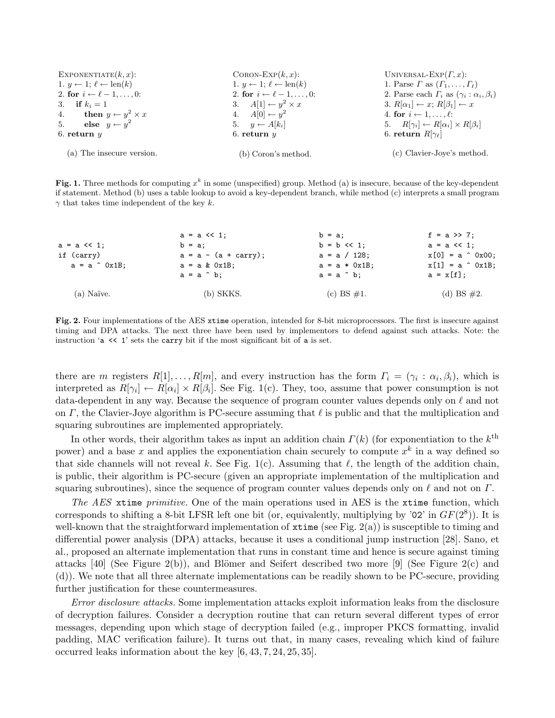| EXPONENTIATE $(k, x)$ :                               | CORON-EXP $(k, x)$ :                                  | UNIVERSAL- $\text{Exp}(\Gamma, x)$ :                         |
|-------------------------------------------------------|-------------------------------------------------------|--------------------------------------------------------------|
| 1. $y \leftarrow 1$ ; $\ell \leftarrow \text{len}(k)$ | 1. $y \leftarrow 1$ ; $\ell \leftarrow \text{len}(k)$ | 1. Parse $\Gamma$ as $(\Gamma_1,\ldots,\Gamma_\ell)$         |
| 2. for $i \leftarrow \ell - 1, \ldots, 0$ :           | 2. for $i \leftarrow \ell - 1, \ldots, 0$ :           | 2. Parse each $\Gamma_i$ as $(\gamma_i : \alpha_i, \beta_i)$ |
| 3. if $k_i = 1$                                       | 3. $A[1] \leftarrow y^2 \times x$                     | 3. $R[\alpha_1] \leftarrow x$ ; $R[\beta_1] \leftarrow x$    |
| 4. then $y \leftarrow y^2 \times x$                   | 4. $A[0] \leftarrow y^2$                              | 4. for $i \leftarrow 1, \ldots, \ell$ :                      |
| 5. else $y \leftarrow y^2$                            | 5. $y \leftarrow A[k_i]$                              | 5. $R[\gamma_i] \leftarrow R[\alpha_i] \times R[\beta_i]$    |
| 6. return $y$                                         | 6. return $y$                                         | 6. return $R[\gamma_\ell]$                                   |
| (a) The insecure version.                             | (b) Coron's method.                                   | (c) Clavier-Joye's method.                                   |

**Fig. 1.** Three methods for computing  $x^k$  in some (unspecified) group. Method (a) is insecure, because of the key-dependent if statement. Method (b) uses a table lookup to avoid a key-dependent branch, while method (c) interprets a small program  $\gamma$  that takes time independent of the key k.

|                       | $a = a \ll 1$ ;        | $b = a$ :         | $f = a \gg 7$ ;          |
|-----------------------|------------------------|-------------------|--------------------------|
| $a = a \ll 1$ ;       | $b = a$ :              | $b = b \ll 1$ ;   | $a = a \ll 1$ ;          |
| if (carry)            | $a = a - (a + carry);$ | $a = a / 128$ ;   | $x[0] = a^0 0x00$ ;      |
| $a = a \hat{O} x1B$ ; | $a = a & 0x1B$ ;       | $a = a * 0x1B$ ;  | $x[1] = a \hat{O} x1B$ ; |
|                       | $a = a \hat{b}$ ;      | $a = a \hat{b}$ ; | $a = x[f];$              |
| (a) Naïve.            | (b) SKKS.              | (c) BS $#1$ .     | (d) BS $#2$ .            |

Fig. 2. Four implementations of the AES xtime operation, intended for 8-bit microprocessors. The first is insecure against timing and DPA attacks. The next three have been used by implementors to defend against such attacks. Note: the instruction 'a << 1' sets the carry bit if the most significant bit of a is set.

there are m registers  $R[1], \ldots, R[m]$ , and every instruction has the form  $\Gamma_i = (\gamma_i : \alpha_i, \beta_i)$ , which is interpreted as  $R[\gamma_i] \leftarrow R[\alpha_i] \times R[\beta_i]$ . See Fig. 1(c). They, too, assume that power consumption is not data-dependent in any way. Because the sequence of program counter values depends only on  $\ell$  and not on Γ, the Clavier-Joye algorithm is PC-secure assuming that  $\ell$  is public and that the multiplication and squaring subroutines are implemented appropriately.

In other words, their algorithm takes as input an addition chain  $\Gamma(k)$  (for exponentiation to the  $k^{\text{th}}$ power) and a base x and applies the exponentiation chain securely to compute  $x^k$  in a way defined so that side channels will not reveal k. See Fig. 1(c). Assuming that  $\ell$ , the length of the addition chain, is public, their algorithm is PC-secure (given an appropriate implementation of the multiplication and squaring subroutines), since the sequence of program counter values depends only on  $\ell$  and not on  $\Gamma$ .

The AES xtime primitive. One of the main operations used in AES is the xtime function, which corresponds to shifting a 8-bit LFSR left one bit (or, equivalently, multiplying by '02' in  $GF(2^8)$ ). It is well-known that the straightforward implementation of  $x \text{time}$  (see Fig. 2(a)) is susceptible to timing and differential power analysis (DPA) attacks, because it uses a conditional jump instruction [28]. Sano, et al., proposed an alternate implementation that runs in constant time and hence is secure against timing attacks [40] (See Figure 2(b)), and Blömer and Seifert described two more [9] (See Figure 2(c) and (d)). We note that all three alternate implementations can be readily shown to be PC-secure, providing further justification for these countermeasures.

Error disclosure attacks. Some implementation attacks exploit information leaks from the disclosure of decryption failures. Consider a decryption routine that can return several different types of error messages, depending upon which stage of decryption failed (e.g., improper PKCS formatting, invalid padding, MAC verification failure). It turns out that, in many cases, revealing which kind of failure occurred leaks information about the key [6, 43, 7, 24, 25, 35].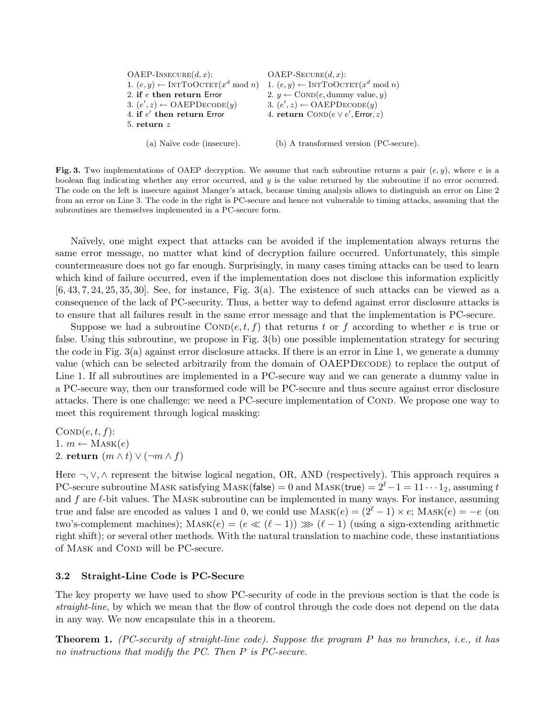$OAEP\text{-}INSECURE(d, x)$ : 1.  $(e, y) \leftarrow \text{INTTOOCTET}(x^d \mod n)$ 2. if e then return Error 3.  $(e', z) \leftarrow \text{OAEPDECODE}(y)$ 4. if  $e'$  then return Error 5. return z (a) Na¨ıve code (insecure).  $OAEP-SECURE(d, x)$ : 1.  $(e, y) \leftarrow \text{INTTOOCTET}(x^d \mod n)$ 2.  $y \leftarrow \text{COND}(e, \text{dummy value}, y)$ 3.  $(e', z) \leftarrow \text{OAEPDECODE}(y)$ 4. return  $\text{COND}(e \vee e', \text{Error}, z)$ (b) A transformed version (PC-secure).

Fig. 3. Two implementations of OAEP decryption. We assume that each subroutine returns a pair  $(e, y)$ , where e is a boolean flag indicating whether any error occurred, and y is the value returned by the subroutine if no error occurred. The code on the left is insecure against Manger's attack, because timing analysis allows to distinguish an error on Line 2 from an error on Line 3. The code in the right is PC-secure and hence not vulnerable to timing attacks, assuming that the subroutines are themselves implemented in a PC-secure form.

Naïvely, one might expect that attacks can be avoided if the implementation always returns the same error message, no matter what kind of decryption failure occurred. Unfortunately, this simple countermeasure does not go far enough. Surprisingly, in many cases timing attacks can be used to learn which kind of failure occurred, even if the implementation does not disclose this information explicitly  $[6, 43, 7, 24, 25, 35, 30]$ . See, for instance, Fig. 3(a). The existence of such attacks can be viewed as a consequence of the lack of PC-security. Thus, a better way to defend against error disclosure attacks is to ensure that all failures result in the same error message and that the implementation is PC-secure.

Suppose we had a subroutine  $\text{COND}(e, t, f)$  that returns t or f according to whether e is true or false. Using this subroutine, we propose in Fig. 3(b) one possible implementation strategy for securing the code in Fig. 3(a) against error disclosure attacks. If there is an error in Line 1, we generate a dummy value (which can be selected arbitrarily from the domain of OAEPDECODE) to replace the output of Line 1. If all subroutines are implemented in a PC-secure way and we can generate a dummy value in a PC-secure way, then our transformed code will be PC-secure and thus secure against error disclosure attacks. There is one challenge: we need a PC-secure implementation of COND. We propose one way to meet this requirement through logical masking:

 $COND(e, t, f)$ : 1.  $m \leftarrow \text{Mask}(e)$ 2. return  $(m \wedge t) \vee (\neg m \wedge f)$ 

Here ¬,∨,∧ represent the bitwise logical negation, OR, AND (respectively). This approach requires a PC-secure subroutine MASK satisfying MASK(false) = 0 and MASK(true) =  $2^{\ell} - 1 = 11 \cdots 1_2$ , assuming t and f are  $\ell$ -bit values. The MASK subroutine can be implemented in many ways. For instance, assuming true and false are encoded as values 1 and 0, we could use  $MASK(e) = (2<sup>\ell</sup> - 1) \times e$ ;  $MASK(e) = -e$  (on two's-complement machines);  $\text{MASK}(e) = (e \ll (\ell - 1)) \gg (\ell - 1)$  (using a sign-extending arithmetic right shift); or several other methods. With the natural translation to machine code, these instantiations of MASK and COND will be PC-secure.

## 3.2 Straight-Line Code is PC-Secure

The key property we have used to show PC-security of code in the previous section is that the code is straight-line, by which we mean that the flow of control through the code does not depend on the data in any way. We now encapsulate this in a theorem.

Theorem 1. (PC-security of straight-line code). Suppose the program P has no branches, i.e., it has no instructions that modify the PC. Then P is PC-secure.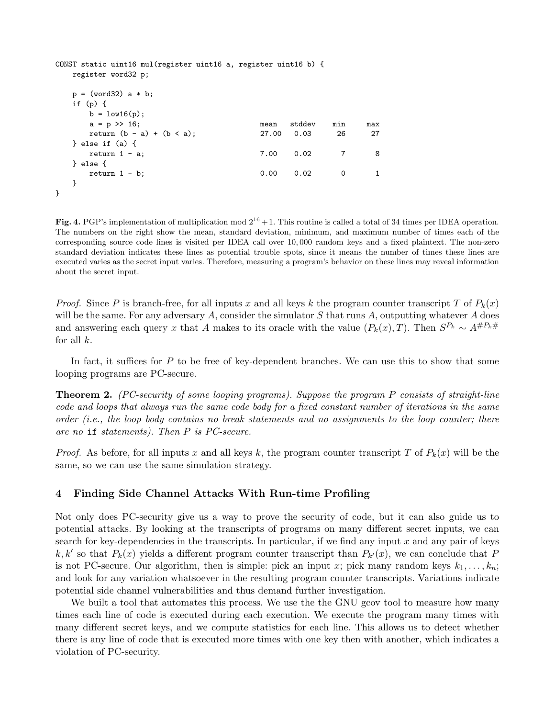```
CONST static uint16 mul(register uint16 a, register uint16 b) {
  register word32 p;
  p = (word32) a * b;if (p) {
     b = \text{low16}(p);
     a = p \gg 16; mean stddev min max
     return (b - a) + (b < a); 27.00 0.03 26 27
  } else if (a) {
     return 1 - a; <br> 7.00 0.02 7 8
  } else {
     return 1 - b; 0.00 0.02 0 1
  }
}
```
Fig. 4. PGP's implementation of multiplication mod  $2^{16} + 1$ . This routine is called a total of 34 times per IDEA operation. The numbers on the right show the mean, standard deviation, minimum, and maximum number of times each of the corresponding source code lines is visited per IDEA call over 10, 000 random keys and a fixed plaintext. The non-zero standard deviation indicates these lines as potential trouble spots, since it means the number of times these lines are executed varies as the secret input varies. Therefore, measuring a program's behavior on these lines may reveal information about the secret input.

*Proof.* Since P is branch-free, for all inputs x and all keys k the program counter transcript T of  $P_k(x)$ will be the same. For any adversary  $A$ , consider the simulator  $S$  that runs  $A$ , outputting whatever  $A$  does and answering each query x that A makes to its oracle with the value  $(P_k(x), T)$ . Then  $S^{P_k} \sim A^{\#P_k \#}$ for all  $k$ .

In fact, it suffices for P to be free of key-dependent branches. We can use this to show that some looping programs are PC-secure.

Theorem 2. (PC-security of some looping programs). Suppose the program P consists of straight-line code and loops that always run the same code body for a fixed constant number of iterations in the same order (i.e., the loop body contains no break statements and no assignments to the loop counter; there are no if statements). Then P is PC-secure.

*Proof.* As before, for all inputs x and all keys k, the program counter transcript T of  $P_k(x)$  will be the same, so we can use the same simulation strategy.

## 4 Finding Side Channel Attacks With Run-time Profiling

Not only does PC-security give us a way to prove the security of code, but it can also guide us to potential attacks. By looking at the transcripts of programs on many different secret inputs, we can search for key-dependencies in the transcripts. In particular, if we find any input  $x$  and any pair of keys  $k, k'$  so that  $P_k(x)$  yields a different program counter transcript than  $P_{k'}(x)$ , we can conclude that P is not PC-secure. Our algorithm, then is simple: pick an input x; pick many random keys  $k_1, \ldots, k_n$ ; and look for any variation whatsoever in the resulting program counter transcripts. Variations indicate potential side channel vulnerabilities and thus demand further investigation.

We built a tool that automates this process. We use the the GNU gcov tool to measure how many times each line of code is executed during each execution. We execute the program many times with many different secret keys, and we compute statistics for each line. This allows us to detect whether there is any line of code that is executed more times with one key then with another, which indicates a violation of PC-security.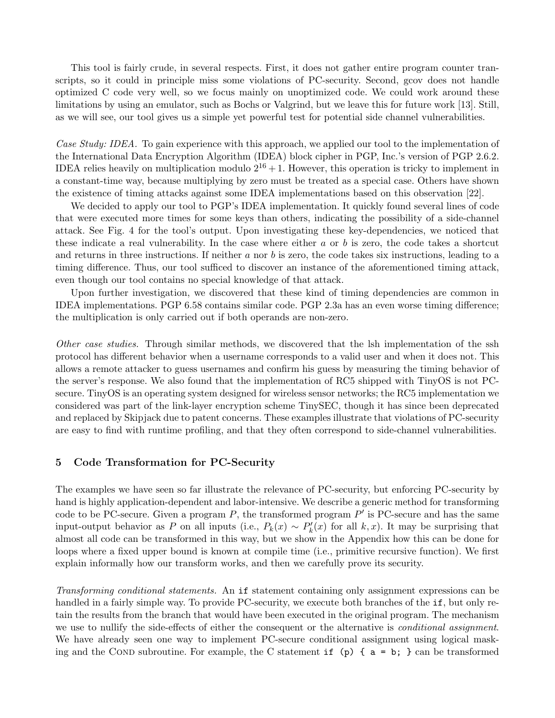This tool is fairly crude, in several respects. First, it does not gather entire program counter transcripts, so it could in principle miss some violations of PC-security. Second, gcov does not handle optimized C code very well, so we focus mainly on unoptimized code. We could work around these limitations by using an emulator, such as Bochs or Valgrind, but we leave this for future work [13]. Still, as we will see, our tool gives us a simple yet powerful test for potential side channel vulnerabilities.

Case Study: IDEA. To gain experience with this approach, we applied our tool to the implementation of the International Data Encryption Algorithm (IDEA) block cipher in PGP, Inc.'s version of PGP 2.6.2. IDEA relies heavily on multiplication modulo  $2^{16} + 1$ . However, this operation is tricky to implement in a constant-time way, because multiplying by zero must be treated as a special case. Others have shown the existence of timing attacks against some IDEA implementations based on this observation [22].

We decided to apply our tool to PGP's IDEA implementation. It quickly found several lines of code that were executed more times for some keys than others, indicating the possibility of a side-channel attack. See Fig. 4 for the tool's output. Upon investigating these key-dependencies, we noticed that these indicate a real vulnerability. In the case where either  $a$  or  $b$  is zero, the code takes a shortcut and returns in three instructions. If neither a nor b is zero, the code takes six instructions, leading to a timing difference. Thus, our tool sufficed to discover an instance of the aforementioned timing attack, even though our tool contains no special knowledge of that attack.

Upon further investigation, we discovered that these kind of timing dependencies are common in IDEA implementations. PGP 6.58 contains similar code. PGP 2.3a has an even worse timing difference; the multiplication is only carried out if both operands are non-zero.

Other case studies. Through similar methods, we discovered that the lsh implementation of the ssh protocol has different behavior when a username corresponds to a valid user and when it does not. This allows a remote attacker to guess usernames and confirm his guess by measuring the timing behavior of the server's response. We also found that the implementation of RC5 shipped with TinyOS is not PCsecure. TinyOS is an operating system designed for wireless sensor networks; the RC5 implementation we considered was part of the link-layer encryption scheme TinySEC, though it has since been deprecated and replaced by Skipjack due to patent concerns. These examples illustrate that violations of PC-security are easy to find with runtime profiling, and that they often correspond to side-channel vulnerabilities.

#### 5 Code Transformation for PC-Security

The examples we have seen so far illustrate the relevance of PC-security, but enforcing PC-security by hand is highly application-dependent and labor-intensive. We describe a generic method for transforming code to be PC-secure. Given a program P, the transformed program  $P'$  is PC-secure and has the same input-output behavior as P on all inputs (i.e.,  $P_k(x) \sim P'_k$  $k(x)$  for all  $k, x$ ). It may be surprising that almost all code can be transformed in this way, but we show in the Appendix how this can be done for loops where a fixed upper bound is known at compile time (i.e., primitive recursive function). We first explain informally how our transform works, and then we carefully prove its security.

Transforming conditional statements. An if statement containing only assignment expressions can be handled in a fairly simple way. To provide PC-security, we execute both branches of the **if**, but only retain the results from the branch that would have been executed in the original program. The mechanism we use to nullify the side-effects of either the consequent or the alternative is *conditional assignment*. We have already seen one way to implement PC-secure conditional assignment using logical masking and the COND subroutine. For example, the C statement if (p) {  $a = b$ ; } can be transformed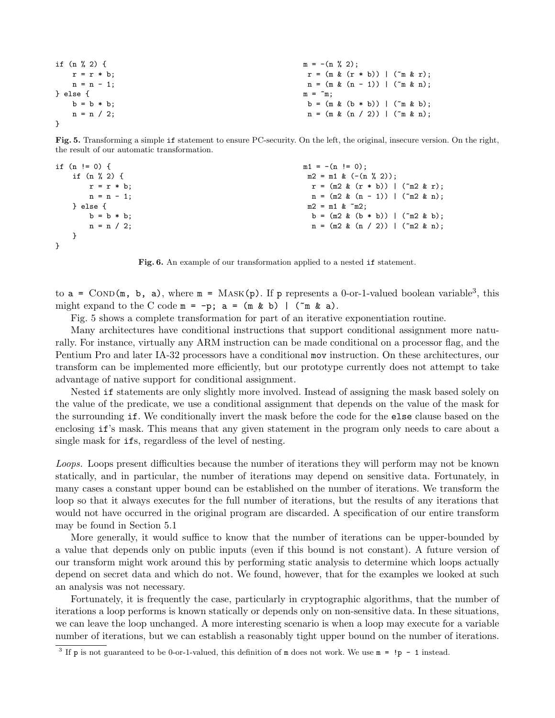| if $(n \times 2)$ f | $m = -(n % 2)$ :                            |
|---------------------|---------------------------------------------|
| $r = r * b$ ;       | $r = (m \& (r * b))$   ("m & r);            |
| $n = n - 1$ :       | $n = (m \& (n - 1))$   $(\tilde{m} \& n)$ ; |
| } else {            | $m = \tilde{m}$ :                           |
| $b = b * b$ :       | $b = (m \& (b * b))$   $(\tilde{m} \& b)$ : |
| $n = n / 2$ ;       | $n = (m \& (n / 2))$   $(\pi \& n)$ ;       |
|                     |                                             |

Fig. 5. Transforming a simple if statement to ensure PC-security. On the left, the original, insecure version. On the right, the result of our automatic transformation.

| if $(n  = 0)$ { | $m1 = -(n != 0)$ :                    |
|-----------------|---------------------------------------|
| if (n % 2) {    | $m2 = m1 \& (- (n \frac{9}{6} 2))$ ;  |
| $r = r * b$ ;   | $r = (m2 \& (r * b))$   ("m2 & r);    |
| $n = n - 1$ ;   | $n = (m2 \& (n - 1))$   ("m2 & n);    |
| } else {        | $m2 = m1$ & $m2$ ;                    |
| $b = b * b$ :   | $b = (m2 \& (b * b))$ $((m2 \& b))$ ; |
| $n = n / 2$ :   | $n = (m2 \& (n / 2))$   ("m2 $k n$ ); |
|                 |                                       |
|                 |                                       |

Fig. 6. An example of our transformation applied to a nested if statement.

to  $a = \text{COND(m, b, a)}$ , where  $m = \text{MASK(p)}$ . If p represents a 0-or-1-valued boolean variable<sup>3</sup>, this might expand to the C code  $m = -p$ ;  $a = (m \& b)$  | ("m  $\& a$ ).

Fig. 5 shows a complete transformation for part of an iterative exponentiation routine.

Many architectures have conditional instructions that support conditional assignment more naturally. For instance, virtually any ARM instruction can be made conditional on a processor flag, and the Pentium Pro and later IA-32 processors have a conditional mov instruction. On these architectures, our transform can be implemented more efficiently, but our prototype currently does not attempt to take advantage of native support for conditional assignment.

Nested if statements are only slightly more involved. Instead of assigning the mask based solely on the value of the predicate, we use a conditional assignment that depends on the value of the mask for the surrounding if. We conditionally invert the mask before the code for the else clause based on the enclosing if's mask. This means that any given statement in the program only needs to care about a single mask for ifs, regardless of the level of nesting.

Loops. Loops present difficulties because the number of iterations they will perform may not be known statically, and in particular, the number of iterations may depend on sensitive data. Fortunately, in many cases a constant upper bound can be established on the number of iterations. We transform the loop so that it always executes for the full number of iterations, but the results of any iterations that would not have occurred in the original program are discarded. A specification of our entire transform may be found in Section 5.1

More generally, it would suffice to know that the number of iterations can be upper-bounded by a value that depends only on public inputs (even if this bound is not constant). A future version of our transform might work around this by performing static analysis to determine which loops actually depend on secret data and which do not. We found, however, that for the examples we looked at such an analysis was not necessary.

Fortunately, it is frequently the case, particularly in cryptographic algorithms, that the number of iterations a loop performs is known statically or depends only on non-sensitive data. In these situations, we can leave the loop unchanged. A more interesting scenario is when a loop may execute for a variable number of iterations, but we can establish a reasonably tight upper bound on the number of iterations.

<sup>&</sup>lt;sup>3</sup> If p is not guaranteed to be 0-or-1-valued, this definition of  $m$  does not work. We use  $m = 1p - 1$  instead.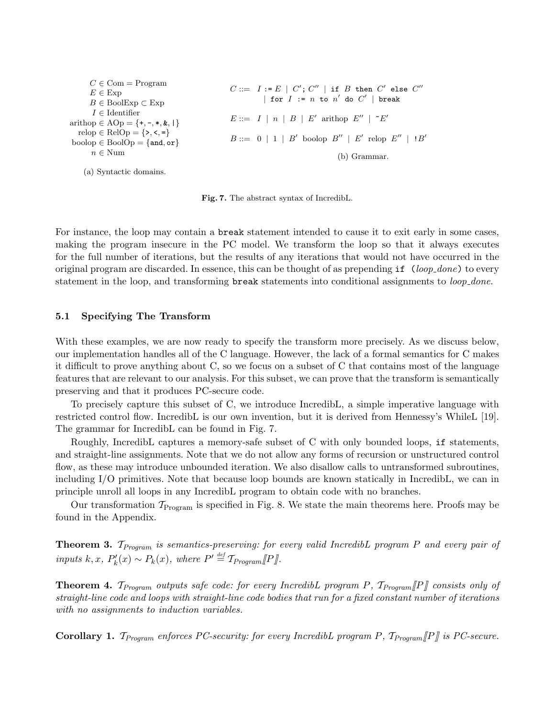```
C \in \mathrm{Com} = \mathrm{Program}E \in \mathrm{Exp}B \in \text{BoolExp} \subset \text{Exp}I \inIdentifier
arithop ∈ AOp = {+, -, *, &, |}relop \in RelOp = \{\geq, \leq, =\}boolean \in BoolOp = \{and, or\}n \in \text{Num}C ::= I := E \mid C' ; C'' \mid \text{if } B \text{ then } C' \text{ else } C''| for I := n to n' do C' | break
                                                     E ::= I | n | B | E' arithop E'' | ^{\sim} E'B ::= 0 | 1 | B' boolop B'' | E' relop E'' | B'(b) Grammar.
```
(a) Syntactic domains.

Fig. 7. The abstract syntax of IncredibL.

For instance, the loop may contain a break statement intended to cause it to exit early in some cases, making the program insecure in the PC model. We transform the loop so that it always executes for the full number of iterations, but the results of any iterations that would not have occurred in the original program are discarded. In essence, this can be thought of as prepending if (loop\_done) to every statement in the loop, and transforming **break** statements into conditional assignments to *loop\_done*.

#### 5.1 Specifying The Transform

With these examples, we are now ready to specify the transform more precisely. As we discuss below, our implementation handles all of the C language. However, the lack of a formal semantics for C makes it difficult to prove anything about C, so we focus on a subset of C that contains most of the language features that are relevant to our analysis. For this subset, we can prove that the transform is semantically preserving and that it produces PC-secure code.

To precisely capture this subset of C, we introduce IncredibL, a simple imperative language with restricted control flow. IncredibL is our own invention, but it is derived from Hennessy's WhileL [19]. The grammar for IncredibL can be found in Fig. 7.

Roughly, IncredibL captures a memory-safe subset of C with only bounded loops, if statements, and straight-line assignments. Note that we do not allow any forms of recursion or unstructured control flow, as these may introduce unbounded iteration. We also disallow calls to untransformed subroutines, including I/O primitives. Note that because loop bounds are known statically in IncredibL, we can in principle unroll all loops in any IncredibL program to obtain code with no branches.

Our transformation  $\mathcal{T}_{\text{Program}}$  is specified in Fig. 8. We state the main theorems here. Proofs may be found in the Appendix.

**Theorem 3.**  $T_{Program}$  is semantics-preserving: for every valid IncredibL program P and every pair of inputs  $k, x, P'_k$  $P'_k(x) \sim P_k(x)$ , where  $P' \stackrel{\text{\tiny def}}{=} T_{Program} [P].$ 

**Theorem 4.**  $T_{Program}$  outputs safe code: for every IncredibL program P,  $T_{Program}[\![P]\!]$  consists only of straight-line code and loops with straight-line code bodies that run for a fixed constant number of iterations with no assignments to induction variables.

**Corollary 1.**  $T_{Program}$  enforces PC-security: for every IncredibL program P,  $T_{Program}[[P]]$  is PC-secure.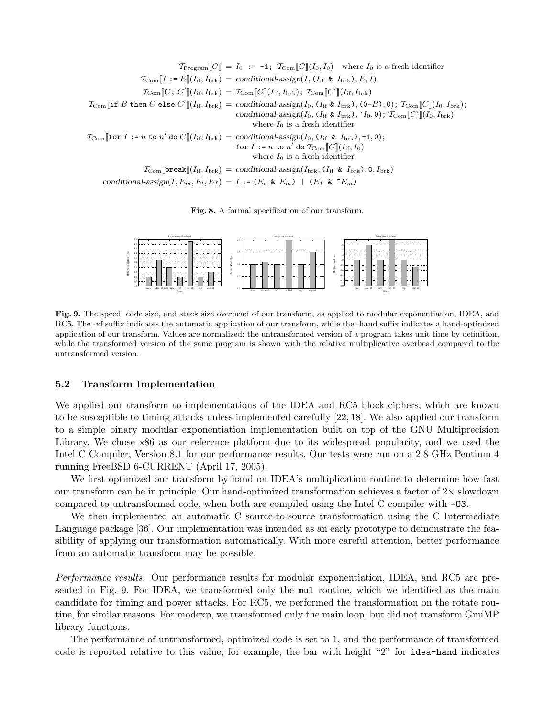$$
T_{\text{Program}}[\![C]\!] = I_0 := -1; T_{\text{Com}}[\![C]\!](I_0, I_0) \text{ where } I_0 \text{ is a fresh identifier}
$$
\n
$$
T_{\text{Com}}[\![I := E]\!](I_{\text{if}}, I_{\text{brk}}) = conditional\text{-assignment}(I, (I_{\text{if}} \& I_{\text{brk}}), E, I)
$$
\n
$$
T_{\text{Com}}[\![C] : C']\![(I_{\text{if}}, I_{\text{brk}}) = T_{\text{Com}}[\![C]\!](I_{\text{if}}, I_{\text{brk}}); T_{\text{Com}}[\![C']\!](I_{\text{if}}, I_{\text{brk}})
$$
\n
$$
T_{\text{Com}}[\![\text{if } B \text{ then } C \text{ else } C']\!](I_{\text{if}}, I_{\text{brk}}) = conditional\text{-assignment}(I_0, (I_{\text{if}} \& I_{\text{brk}}), (0-B), 0); T_{\text{Com}}[\![C]\!](I_0, I_{\text{brk}});
$$
\n
$$
\text{conditional-assign}(I_0, (I_{\text{if}} \& I_{\text{brk}}), \text{``I}_0, 0); T_{\text{Com}}[\![C']\!](I_0, I_{\text{brk}})
$$
\n
$$
T_{\text{Com}}[\![\text{for } I := n \text{ to } n' \text{ do } C]\!](I_{\text{if}}, I_{\text{brk}}) = conditional\text{-assignment}(I_0, (I_{\text{if}} \& I_{\text{brk}}), \text{``I}_0, 0);
$$
\n
$$
\text{for } I := n \text{ to } n' \text{ do } T_{\text{Com}}[\![C]\!](I_{\text{if}}, I_0)
$$
\n
$$
\text{where } I_0 \text{ is a fresh identifier}
$$
\n
$$
T_{\text{Com}}[\![\text{break}](I_{\text{if}}, I_{\text{brk}}) = conditional\text{-assignment}(I_{\text{brk}}, (I_{\text{if}} \& I_{\text{brk}}), 0, I_{\text{brk}})
$$
\n
$$
\text{conditional-assign}(I, E_m, E_t, E_f) = I := (E_t \& E_m) + (E_f \& \text{``E}_m)
$$

Fig. 8. A formal specification of our transform.



Fig. 9. The speed, code size, and stack size overhead of our transform, as applied to modular exponentiation, IDEA, and RC5. The -xf suffix indicates the automatic application of our transform, while the -hand suffix indicates a hand-optimized application of our transform. Values are normalized: the untransformed version of a program takes unit time by definition, while the transformed version of the same program is shown with the relative multiplicative overhead compared to the untransformed version.

#### 5.2 Transform Implementation

We applied our transform to implementations of the IDEA and RC5 block ciphers, which are known to be susceptible to timing attacks unless implemented carefully [22, 18]. We also applied our transform to a simple binary modular exponentiation implementation built on top of the GNU Multiprecision Library. We chose x86 as our reference platform due to its widespread popularity, and we used the Intel C Compiler, Version 8.1 for our performance results. Our tests were run on a 2.8 GHz Pentium 4 running FreeBSD 6-CURRENT (April 17, 2005).

We first optimized our transform by hand on IDEA's multiplication routine to determine how fast our transform can be in principle. Our hand-optimized transformation achieves a factor of  $2\times$  slowdown compared to untransformed code, when both are compiled using the Intel C compiler with -O3.

We then implemented an automatic C source-to-source transformation using the C Intermediate Language package [36]. Our implementation was intended as an early prototype to demonstrate the feasibility of applying our transformation automatically. With more careful attention, better performance from an automatic transform may be possible.

Performance results. Our performance results for modular exponentiation, IDEA, and RC5 are presented in Fig. 9. For IDEA, we transformed only the mul routine, which we identified as the main candidate for timing and power attacks. For RC5, we performed the transformation on the rotate routine, for similar reasons. For modexp, we transformed only the main loop, but did not transform GnuMP library functions.

The performance of untransformed, optimized code is set to 1, and the performance of transformed code is reported relative to this value; for example, the bar with height "2" for idea-hand indicates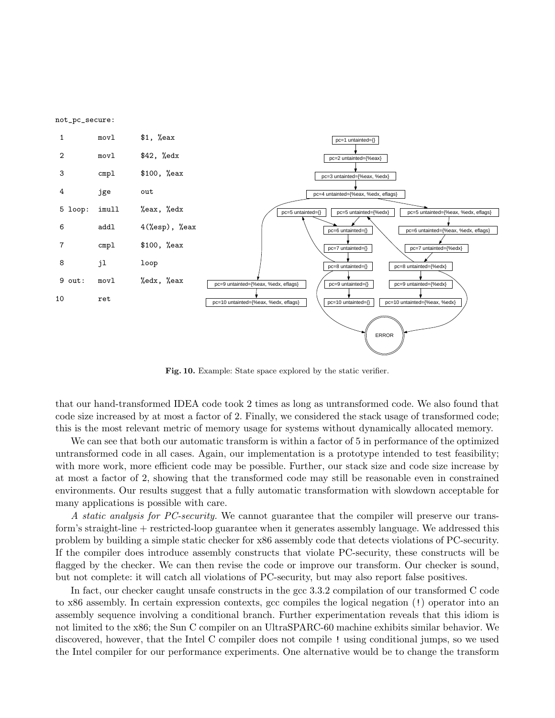

Fig. 10. Example: State space explored by the static verifier.

that our hand-transformed IDEA code took 2 times as long as untransformed code. We also found that code size increased by at most a factor of 2. Finally, we considered the stack usage of transformed code; this is the most relevant metric of memory usage for systems without dynamically allocated memory.

We can see that both our automatic transform is within a factor of 5 in performance of the optimized untransformed code in all cases. Again, our implementation is a prototype intended to test feasibility; with more work, more efficient code may be possible. Further, our stack size and code size increase by at most a factor of 2, showing that the transformed code may still be reasonable even in constrained environments. Our results suggest that a fully automatic transformation with slowdown acceptable for many applications is possible with care.

A static analysis for PC-security. We cannot guarantee that the compiler will preserve our transform's straight-line + restricted-loop guarantee when it generates assembly language. We addressed this problem by building a simple static checker for x86 assembly code that detects violations of PC-security. If the compiler does introduce assembly constructs that violate PC-security, these constructs will be flagged by the checker. We can then revise the code or improve our transform. Our checker is sound, but not complete: it will catch all violations of PC-security, but may also report false positives.

In fact, our checker caught unsafe constructs in the gcc 3.3.2 compilation of our transformed C code to x86 assembly. In certain expression contexts, gcc compiles the logical negation (!) operator into an assembly sequence involving a conditional branch. Further experimentation reveals that this idiom is not limited to the x86; the Sun C compiler on an UltraSPARC-60 machine exhibits similar behavior. We discovered, however, that the Intel C compiler does not compile ! using conditional jumps, so we used the Intel compiler for our performance experiments. One alternative would be to change the transform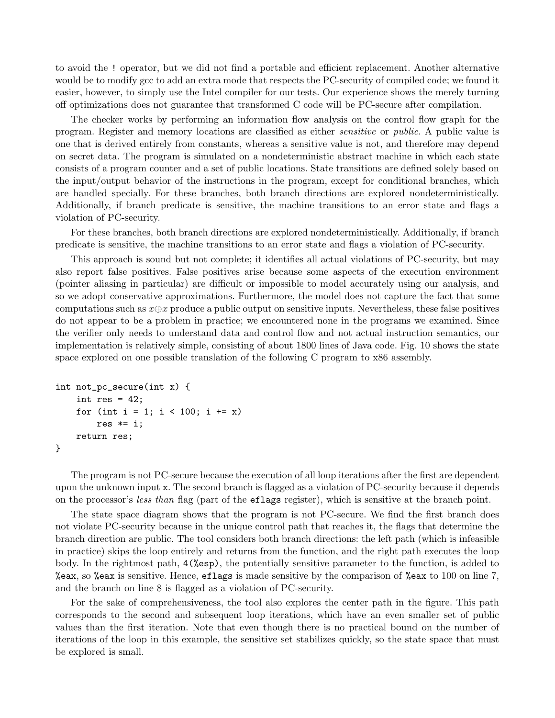to avoid the ! operator, but we did not find a portable and efficient replacement. Another alternative would be to modify gcc to add an extra mode that respects the PC-security of compiled code; we found it easier, however, to simply use the Intel compiler for our tests. Our experience shows the merely turning off optimizations does not guarantee that transformed C code will be PC-secure after compilation.

The checker works by performing an information flow analysis on the control flow graph for the program. Register and memory locations are classified as either sensitive or public. A public value is one that is derived entirely from constants, whereas a sensitive value is not, and therefore may depend on secret data. The program is simulated on a nondeterministic abstract machine in which each state consists of a program counter and a set of public locations. State transitions are defined solely based on the input/output behavior of the instructions in the program, except for conditional branches, which are handled specially. For these branches, both branch directions are explored nondeterministically. Additionally, if branch predicate is sensitive, the machine transitions to an error state and flags a violation of PC-security.

For these branches, both branch directions are explored nondeterministically. Additionally, if branch predicate is sensitive, the machine transitions to an error state and flags a violation of PC-security.

This approach is sound but not complete; it identifies all actual violations of PC-security, but may also report false positives. False positives arise because some aspects of the execution environment (pointer aliasing in particular) are difficult or impossible to model accurately using our analysis, and so we adopt conservative approximations. Furthermore, the model does not capture the fact that some computations such as  $x \oplus x$  produce a public output on sensitive inputs. Nevertheless, these false positives do not appear to be a problem in practice; we encountered none in the programs we examined. Since the verifier only needs to understand data and control flow and not actual instruction semantics, our implementation is relatively simple, consisting of about 1800 lines of Java code. Fig. 10 shows the state space explored on one possible translation of the following C program to x86 assembly.

```
int not_pc_secure(int x) {
    int res = 42;
    for (int i = 1; i < 100; i += x)
        res *= i;return res;
}
```
The program is not PC-secure because the execution of all loop iterations after the first are dependent upon the unknown input x. The second branch is flagged as a violation of PC-security because it depends on the processor's less than flag (part of the eflags register), which is sensitive at the branch point.

The state space diagram shows that the program is not PC-secure. We find the first branch does not violate PC-security because in the unique control path that reaches it, the flags that determine the branch direction are public. The tool considers both branch directions: the left path (which is infeasible in practice) skips the loop entirely and returns from the function, and the right path executes the loop body. In the rightmost path, 4(%esp), the potentially sensitive parameter to the function, is added to %eax, so %eax is sensitive. Hence, eflags is made sensitive by the comparison of %eax to 100 on line 7, and the branch on line 8 is flagged as a violation of PC-security.

For the sake of comprehensiveness, the tool also explores the center path in the figure. This path corresponds to the second and subsequent loop iterations, which have an even smaller set of public values than the first iteration. Note that even though there is no practical bound on the number of iterations of the loop in this example, the sensitive set stabilizes quickly, so the state space that must be explored is small.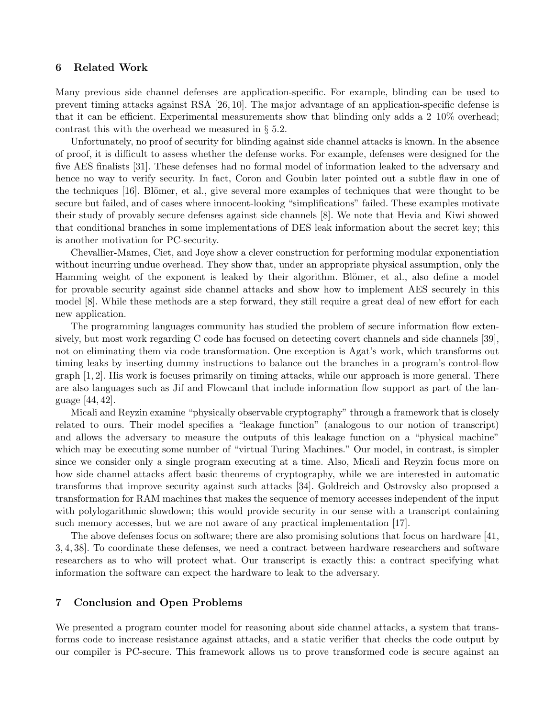### 6 Related Work

Many previous side channel defenses are application-specific. For example, blinding can be used to prevent timing attacks against RSA [26, 10]. The major advantage of an application-specific defense is that it can be efficient. Experimental measurements show that blinding only adds a 2–10% overhead; contrast this with the overhead we measured in § 5.2.

Unfortunately, no proof of security for blinding against side channel attacks is known. In the absence of proof, it is difficult to assess whether the defense works. For example, defenses were designed for the five AES finalists [31]. These defenses had no formal model of information leaked to the adversary and hence no way to verify security. In fact, Coron and Goubin later pointed out a subtle flaw in one of the techniques [16]. Blömer, et al., give several more examples of techniques that were thought to be secure but failed, and of cases where innocent-looking "simplifications" failed. These examples motivate their study of provably secure defenses against side channels [8]. We note that Hevia and Kiwi showed that conditional branches in some implementations of DES leak information about the secret key; this is another motivation for PC-security.

Chevallier-Mames, Ciet, and Joye show a clever construction for performing modular exponentiation without incurring undue overhead. They show that, under an appropriate physical assumption, only the Hamming weight of the exponent is leaked by their algorithm. Blömer, et al., also define a model for provable security against side channel attacks and show how to implement AES securely in this model [8]. While these methods are a step forward, they still require a great deal of new effort for each new application.

The programming languages community has studied the problem of secure information flow extensively, but most work regarding C code has focused on detecting covert channels and side channels [39], not on eliminating them via code transformation. One exception is Agat's work, which transforms out timing leaks by inserting dummy instructions to balance out the branches in a program's control-flow graph [1, 2]. His work is focuses primarily on timing attacks, while our approach is more general. There are also languages such as Jif and Flowcaml that include information flow support as part of the language [44, 42].

Micali and Reyzin examine "physically observable cryptography" through a framework that is closely related to ours. Their model specifies a "leakage function" (analogous to our notion of transcript) and allows the adversary to measure the outputs of this leakage function on a "physical machine" which may be executing some number of "virtual Turing Machines." Our model, in contrast, is simpler since we consider only a single program executing at a time. Also, Micali and Reyzin focus more on how side channel attacks affect basic theorems of cryptography, while we are interested in automatic transforms that improve security against such attacks [34]. Goldreich and Ostrovsky also proposed a transformation for RAM machines that makes the sequence of memory accesses independent of the input with polylogarithmic slowdown; this would provide security in our sense with a transcript containing such memory accesses, but we are not aware of any practical implementation [17].

The above defenses focus on software; there are also promising solutions that focus on hardware [41, 3, 4, 38]. To coordinate these defenses, we need a contract between hardware researchers and software researchers as to who will protect what. Our transcript is exactly this: a contract specifying what information the software can expect the hardware to leak to the adversary.

### 7 Conclusion and Open Problems

We presented a program counter model for reasoning about side channel attacks, a system that transforms code to increase resistance against attacks, and a static verifier that checks the code output by our compiler is PC-secure. This framework allows us to prove transformed code is secure against an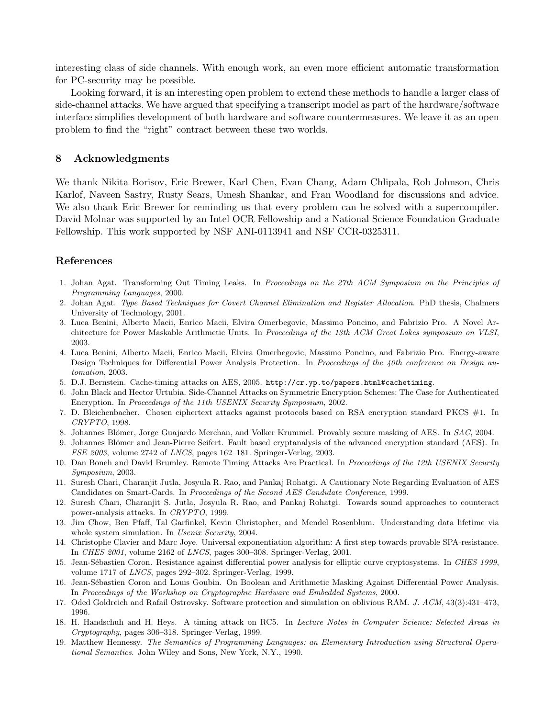interesting class of side channels. With enough work, an even more efficient automatic transformation for PC-security may be possible.

Looking forward, it is an interesting open problem to extend these methods to handle a larger class of side-channel attacks. We have argued that specifying a transcript model as part of the hardware/software interface simplifies development of both hardware and software countermeasures. We leave it as an open problem to find the "right" contract between these two worlds.

## 8 Acknowledgments

We thank Nikita Borisov, Eric Brewer, Karl Chen, Evan Chang, Adam Chlipala, Rob Johnson, Chris Karlof, Naveen Sastry, Rusty Sears, Umesh Shankar, and Fran Woodland for discussions and advice. We also thank Eric Brewer for reminding us that every problem can be solved with a supercompiler. David Molnar was supported by an Intel OCR Fellowship and a National Science Foundation Graduate Fellowship. This work supported by NSF ANI-0113941 and NSF CCR-0325311.

# References

- 1. Johan Agat. Transforming Out Timing Leaks. In Proceedings on the 27th ACM Symposium on the Principles of Programming Languages, 2000.
- 2. Johan Agat. Type Based Techniques for Covert Channel Elimination and Register Allocation. PhD thesis, Chalmers University of Technology, 2001.
- 3. Luca Benini, Alberto Macii, Enrico Macii, Elvira Omerbegovic, Massimo Poncino, and Fabrizio Pro. A Novel Architecture for Power Maskable Arithmetic Units. In Proceedings of the 13th ACM Great Lakes symposium on VLSI, 2003.
- 4. Luca Benini, Alberto Macii, Enrico Macii, Elvira Omerbegovic, Massimo Poncino, and Fabrizio Pro. Energy-aware Design Techniques for Differential Power Analysis Protection. In Proceedings of the 40th conference on Design automation, 2003.
- 5. D.J. Bernstein. Cache-timing attacks on AES, 2005. http://cr.yp.to/papers.html#cachetiming.
- 6. John Black and Hector Urtubia. Side-Channel Attacks on Symmetric Encryption Schemes: The Case for Authenticated Encryption. In Proceedings of the 11th USENIX Security Symposium, 2002.
- 7. D. Bleichenbacher. Chosen ciphertext attacks against protocols based on RSA encryption standard PKCS #1. In CRYPTO, 1998.
- 8. Johannes Blömer, Jorge Guajardo Merchan, and Volker Krummel. Provably secure masking of AES. In SAC, 2004.
- 9. Johannes Blömer and Jean-Pierre Seifert. Fault based cryptanalysis of the advanced encryption standard (AES). In FSE 2003, volume 2742 of LNCS, pages 162–181. Springer-Verlag, 2003.
- 10. Dan Boneh and David Brumley. Remote Timing Attacks Are Practical. In Proceedings of the 12th USENIX Security Symposium, 2003.
- 11. Suresh Chari, Charanjit Jutla, Josyula R. Rao, and Pankaj Rohatgi. A Cautionary Note Regarding Evaluation of AES Candidates on Smart-Cards. In Proceedings of the Second AES Candidate Conference, 1999.
- 12. Suresh Chari, Charanjit S. Jutla, Josyula R. Rao, and Pankaj Rohatgi. Towards sound approaches to counteract power-analysis attacks. In CRYPTO, 1999.
- 13. Jim Chow, Ben Pfaff, Tal Garfinkel, Kevin Christopher, and Mendel Rosenblum. Understanding data lifetime via whole system simulation. In *Usenix Security*, 2004.
- 14. Christophe Clavier and Marc Joye. Universal exponentiation algorithm: A first step towards provable SPA-resistance. In CHES 2001, volume 2162 of LNCS, pages 300–308. Springer-Verlag, 2001.
- 15. Jean-Sébastien Coron. Resistance against differential power analysis for elliptic curve cryptosystems. In CHES 1999, volume 1717 of LNCS, pages 292–302. Springer-Verlag, 1999.
- 16. Jean-Sébastien Coron and Louis Goubin. On Boolean and Arithmetic Masking Against Differential Power Analysis. In Proceedings of the Workshop on Cryptographic Hardware and Embedded Systems, 2000.
- 17. Oded Goldreich and Rafail Ostrovsky. Software protection and simulation on oblivious RAM. J. ACM, 43(3):431–473, 1996.
- 18. H. Handschuh and H. Heys. A timing attack on RC5. In Lecture Notes in Computer Science: Selected Areas in Cryptography, pages 306–318. Springer-Verlag, 1999.
- 19. Matthew Hennessy. The Semantics of Programming Languages: an Elementary Introduction using Structural Operational Semantics. John Wiley and Sons, New York, N.Y., 1990.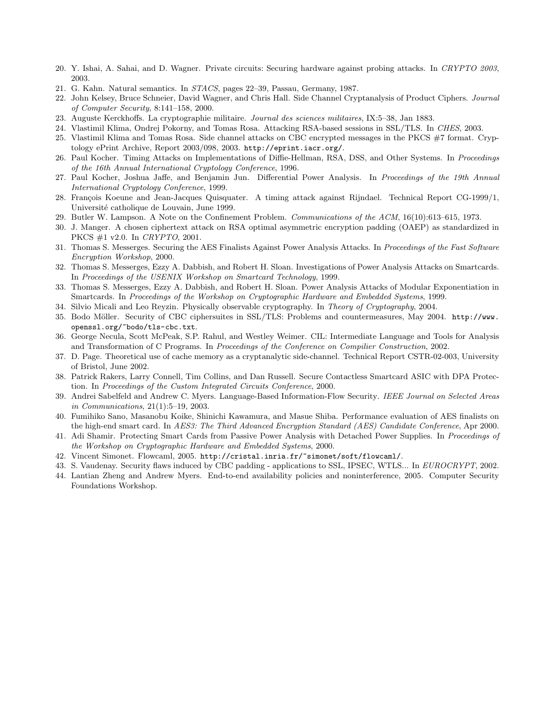- 20. Y. Ishai, A. Sahai, and D. Wagner. Private circuits: Securing hardware against probing attacks. In CRYPTO 2003, 2003.
- 21. G. Kahn. Natural semantics. In STACS, pages 22–39, Passau, Germany, 1987.
- 22. John Kelsey, Bruce Schneier, David Wagner, and Chris Hall. Side Channel Cryptanalysis of Product Ciphers. Journal of Computer Security, 8:141–158, 2000.
- 23. Auguste Kerckhoffs. La cryptographie militaire. Journal des sciences militaires, IX:5–38, Jan 1883.
- 24. Vlastimil Klima, Ondrej Pokorny, and Tomas Rosa. Attacking RSA-based sessions in SSL/TLS. In CHES, 2003.
- 25. Vlastimil Klima and Tomas Rosa. Side channel attacks on CBC encrypted messages in the PKCS #7 format. Cryptology ePrint Archive, Report 2003/098, 2003. http://eprint.iacr.org/.
- 26. Paul Kocher. Timing Attacks on Implementations of Diffie-Hellman, RSA, DSS, and Other Systems. In Proceedings of the 16th Annual International Cryptology Conference, 1996.
- 27. Paul Kocher, Joshua Jaffe, and Benjamin Jun. Differential Power Analysis. In Proceedings of the 19th Annual International Cryptology Conference, 1999.
- 28. François Koeune and Jean-Jacques Quisquater. A timing attack against Rijndael. Technical Report CG-1999/1, Université catholique de Louvain, June 1999.
- 29. Butler W. Lampson. A Note on the Confinement Problem. Communications of the ACM, 16(10):613–615, 1973.
- 30. J. Manger. A chosen ciphertext attack on RSA optimal asymmetric encryption padding (OAEP) as standardized in PKCS #1 v2.0. In CRYPTO, 2001.
- 31. Thomas S. Messerges. Securing the AES Finalists Against Power Analysis Attacks. In Proceedings of the Fast Software Encryption Workshop, 2000.
- 32. Thomas S. Messerges, Ezzy A. Dabbish, and Robert H. Sloan. Investigations of Power Analysis Attacks on Smartcards. In Proceedings of the USENIX Workshop on Smartcard Technology, 1999.
- 33. Thomas S. Messerges, Ezzy A. Dabbish, and Robert H. Sloan. Power Analysis Attacks of Modular Exponentiation in Smartcards. In Proceedings of the Workshop on Cryptographic Hardware and Embedded Systems, 1999.
- 34. Silvio Micali and Leo Reyzin. Physically observable cryptography. In Theory of Cryptography, 2004.
- 35. Bodo Möller. Security of CBC ciphersuites in SSL/TLS: Problems and countermeasures, May 2004. http://www. openssl.org/~bodo/tls-cbc.txt.
- 36. George Necula, Scott McPeak, S.P. Rahul, and Westley Weimer. CIL: Intermediate Language and Tools for Analysis and Transformation of C Programs. In Proceedings of the Conference on Compilier Construction, 2002.
- 37. D. Page. Theoretical use of cache memory as a cryptanalytic side-channel. Technical Report CSTR-02-003, University of Bristol, June 2002.
- 38. Patrick Rakers, Larry Connell, Tim Collins, and Dan Russell. Secure Contactless Smartcard ASIC with DPA Protection. In Proceedings of the Custom Integrated Circuits Conference, 2000.
- 39. Andrei Sabelfeld and Andrew C. Myers. Language-Based Information-Flow Security. IEEE Journal on Selected Areas in Communications, 21(1):5–19, 2003.
- 40. Fumihiko Sano, Masanobu Koike, Shinichi Kawamura, and Masue Shiba. Performance evaluation of AES finalists on the high-end smart card. In AES3: The Third Advanced Encryption Standard (AES) Candidate Conference, Apr 2000.
- 41. Adi Shamir. Protecting Smart Cards from Passive Power Analysis with Detached Power Supplies. In Proceedings of the Workshop on Cryptographic Hardware and Embedded Systems, 2000.
- 42. Vincent Simonet. Flowcaml, 2005. http://cristal.inria.fr/~simonet/soft/flowcaml/.
- 43. S. Vaudenay. Security flaws induced by CBC padding applications to SSL, IPSEC, WTLS... In EUROCRYPT, 2002.
- 44. Lantian Zheng and Andrew Myers. End-to-end availability policies and noninterference, 2005. Computer Security Foundations Workshop.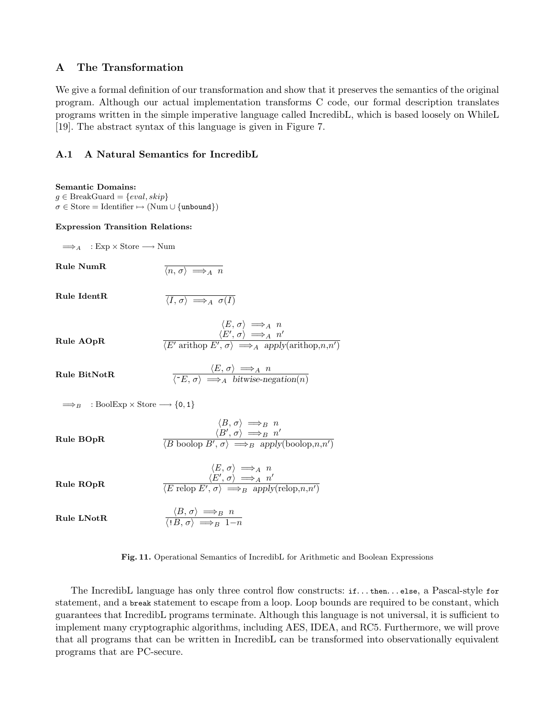# A The Transformation

We give a formal definition of our transformation and show that it preserves the semantics of the original program. Although our actual implementation transforms C code, our formal description translates programs written in the simple imperative language called IncredibL, which is based loosely on WhileL [19]. The abstract syntax of this language is given in Figure 7.

# A.1 A Natural Semantics for IncredibL

Semantic Domains:  $q \in$ BreakGuard = {*eval, skip*}  $\sigma \in \text{Store} = \text{Identity} \rightarrow (\text{Num} \cup \{\text{unbound}\})$ Expression Transition Relations:  $\Longrightarrow_A$  : Exp × Store  $\longrightarrow$  Num Rule NumR  $\langle n, \sigma \rangle \implies_{A} n$ Rule IdentR<br> $\overline{\langle I, \sigma \rangle} \implies_A \overline{\sigma(I)}$ Rule AOpR  $\langle E, \sigma \rangle \implies_A n$  $\langle E', \sigma \rangle \implies_A^n n'$  $\langle E' \text{ arithop } E', \sigma \rangle \implies_A \text{ apply}(\text{arithop}, n, n')$ Rule BitNotR  $\langle E, \sigma \rangle \implies_A n$  $\langle \tilde{\;} E, \sigma \rangle \implies_A$  bitwise-negation $(n)$  $\Longrightarrow_B$  : BoolExp × Store  $\longrightarrow \{0, 1\}$ Rule BOpR  $\langle B, \sigma \rangle \implies_B n$  $\langle B', \sigma \rangle \implies_B n'$  $\langle B \text{ boolean } B', \sigma \rangle \Longrightarrow_B \text{ apply}(\text{boolean}, n, n')$ Rule ROpR  $\langle E, \sigma \rangle \implies_A n$  $\langle E', \sigma \rangle \implies_A^n n'$  $\langle E \text{ relop } E', \sigma \rangle \implies_B \text{ apply}(\text{relop}, n, n')$ Rule LNotR  $\langle B, \sigma \rangle \implies_B n$  $\langle B, \sigma \rangle \implies_B 1-n$ 

Fig. 11. Operational Semantics of IncredibL for Arithmetic and Boolean Expressions

The IncredibL language has only three control flow constructs: if. . . then. . . else, a Pascal-style for statement, and a break statement to escape from a loop. Loop bounds are required to be constant, which guarantees that IncredibL programs terminate. Although this language is not universal, it is sufficient to implement many cryptographic algorithms, including AES, IDEA, and RC5. Furthermore, we will prove that all programs that can be written in IncredibL can be transformed into observationally equivalent programs that are PC-secure.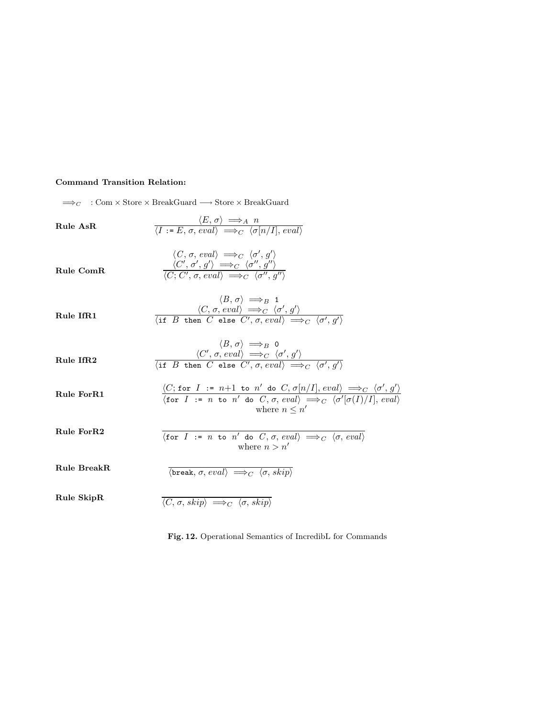#### Command Transition Relation:

 $\Longrightarrow_C$  : Com × Store × BreakGuard  $\longrightarrow$  Store × BreakGuard

Rule AsR  
\n
$$
\frac{\langle E, \sigma \rangle \Rightarrow_{A} n}{\langle I := E, \sigma, eval \rangle \Rightarrow_{C} \langle \sigma[n/I], eval \rangle}
$$
\nRule ComR  
\n
$$
\frac{\langle C, \sigma, eval \rangle \Rightarrow_{C} \langle \sigma', g' \rangle}{\langle C; C', \sigma, eval \rangle \Rightarrow_{C} \langle \sigma'', g'' \rangle}
$$
\nRule IfR1  
\n
$$
\frac{\langle C, \sigma, eval \rangle \Rightarrow_{C} \langle \sigma'', g'' \rangle}{\langle \text{if } B \text{ then } C \text{ else } C', \sigma, eval \rangle \Rightarrow_{C} \langle \sigma', g' \rangle}
$$
\nRule IfR2  
\nRule IfR2  
\n
$$
\frac{\langle G, \sigma, eval \rangle \Rightarrow_{C} \langle \sigma', g' \rangle}{\langle \text{if } B \text{ then } C \text{ else } C', \sigma, eval \rangle \Rightarrow_{C} \langle \sigma', g' \rangle}
$$
\nRule ForR1  
\n
$$
\frac{\langle C, \sigma, eval \rangle \Rightarrow_{C} \langle \sigma', g' \rangle}{\langle \text{for } I := n + 1 \text{ to } n' \text{ do } C, \sigma, eval \rangle \Rightarrow_{C} \langle \sigma', g' \rangle}
$$
\nRule ForR2  
\nRule ForR2  
\n
$$
\frac{\langle \text{for } I := n + 1 \text{ to } n' \text{ do } C, \sigma, eval \rangle \Rightarrow_{C} \langle \sigma', g' \rangle}{\langle \text{for } I := n \text{ to } n' \text{ do } C, \sigma, eval \rangle \Rightarrow_{C} \langle \sigma', eval \rangle}
$$
\nRule BreakR  
\nRule ForR2  
\n
$$
\frac{\langle \text{for } I := n \text{ to } n' \text{ do } C, \sigma, eval \rangle \Rightarrow_{C} \langle \sigma, eval \rangle}{\langle \text{break}, \sigma, eval \rangle \Rightarrow_{C} \langle \sigma, skip \rangle}
$$
\nRule Sketch  
\n
$$
\frac{\langle \text{for } I := n \text{ to } n' \text{ do } C, \sigma, eval \rangle}{\langle C, \sigma, skip \rangle \Rightarrow_{C} \langle \sigma, skip \rangle}
$$

Fig. 12. Operational Semantics of IncredibL for Commands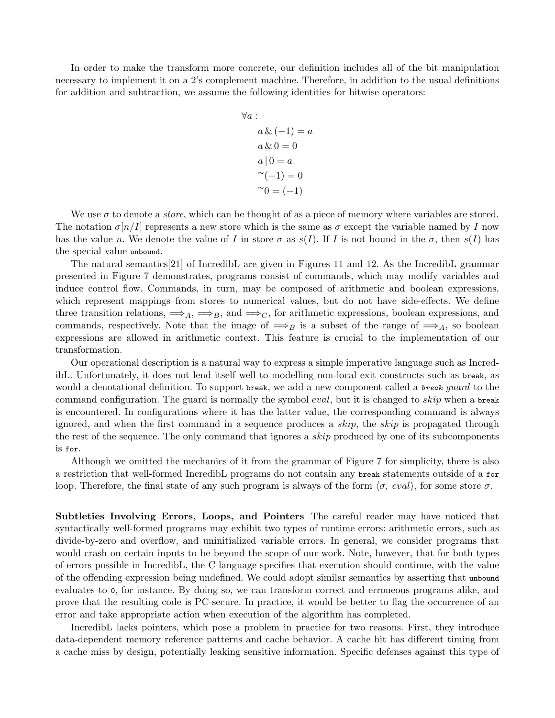In order to make the transform more concrete, our definition includes all of the bit manipulation necessary to implement it on a 2's complement machine. Therefore, in addition to the usual definitions for addition and subtraction, we assume the following identities for bitwise operators:

$$
\forall a:
$$
  
\n
$$
a \& (-1) = a
$$
  
\n
$$
a \& 0 = 0
$$
  
\n
$$
a | 0 = a
$$
  
\n
$$
\sim (-1) = 0
$$
  
\n
$$
\sim 0 = (-1)
$$

We use  $\sigma$  to denote a *store*, which can be thought of as a piece of memory where variables are stored. The notation  $\sigma[n/I]$  represents a new store which is the same as  $\sigma$  except the variable named by I now has the value n. We denote the value of I in store  $\sigma$  as  $s(I)$ . If I is not bound in the  $\sigma$ , then  $s(I)$  has the special value unbound.

The natural semantics[21] of IncredibL are given in Figures 11 and 12. As the IncredibL grammar presented in Figure 7 demonstrates, programs consist of commands, which may modify variables and induce control flow. Commands, in turn, may be composed of arithmetic and boolean expressions, which represent mappings from stores to numerical values, but do not have side-effects. We define three transition relations,  $\Longrightarrow$ <sub>A</sub>,  $\Longrightarrow$ <sub>B</sub>, and  $\Longrightarrow$ <sub>C</sub>, for arithmetic expressions, boolean expressions, and commands, respectively. Note that the image of  $\Longrightarrow_B$  is a subset of the range of  $\Longrightarrow_A$ , so boolean expressions are allowed in arithmetic context. This feature is crucial to the implementation of our transformation.

Our operational description is a natural way to express a simple imperative language such as IncredibL. Unfortunately, it does not lend itself well to modelling non-local exit constructs such as break, as would a denotational definition. To support break, we add a new component called a break guard to the command configuration. The guard is normally the symbol *eval*, but it is changed to *skip* when a break is encountered. In configurations where it has the latter value, the corresponding command is always ignored, and when the first command in a sequence produces a skip, the skip is propagated through the rest of the sequence. The only command that ignores a *skip* produced by one of its subcomponents is for.

Although we omitted the mechanics of it from the grammar of Figure 7 for simplicity, there is also a restriction that well-formed IncredibL programs do not contain any break statements outside of a for loop. Therefore, the final state of any such program is always of the form  $\langle \sigma, eval \rangle$ , for some store  $\sigma$ .

Subtleties Involving Errors, Loops, and Pointers The careful reader may have noticed that syntactically well-formed programs may exhibit two types of runtime errors: arithmetic errors, such as divide-by-zero and overflow, and uninitialized variable errors. In general, we consider programs that would crash on certain inputs to be beyond the scope of our work. Note, however, that for both types of errors possible in IncredibL, the C language specifies that execution should continue, with the value of the offending expression being undefined. We could adopt similar semantics by asserting that unbound evaluates to 0, for instance. By doing so, we can transform correct and erroneous programs alike, and prove that the resulting code is PC-secure. In practice, it would be better to flag the occurrence of an error and take appropriate action when execution of the algorithm has completed.

IncredibL lacks pointers, which pose a problem in practice for two reasons. First, they introduce data-dependent memory reference patterns and cache behavior. A cache hit has different timing from a cache miss by design, potentially leaking sensitive information. Specific defenses against this type of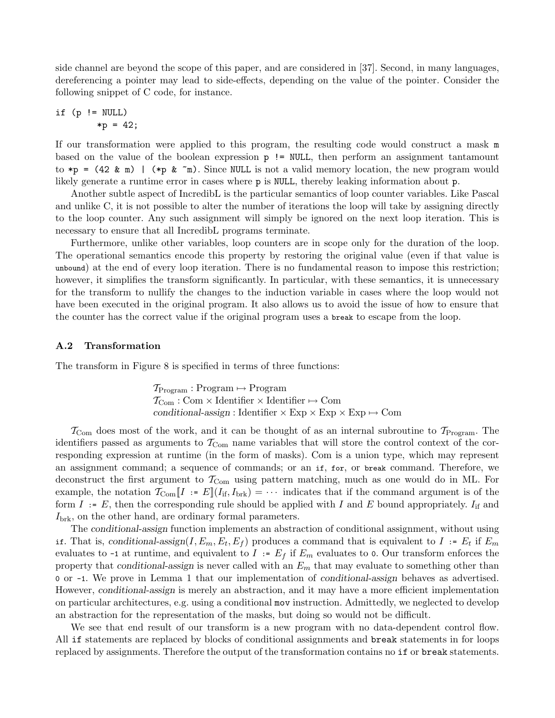side channel are beyond the scope of this paper, and are considered in [37]. Second, in many languages, dereferencing a pointer may lead to side-effects, depending on the value of the pointer. Consider the following snippet of C code, for instance.

if (p != NULL) \*p = 42;

If our transformation were applied to this program, the resulting code would construct a mask m based on the value of the boolean expression  $p$  != NULL, then perform an assignment tantamount to  $\mp p = (42 \& m)$  | ( $\mp p \& \pm p$ ). Since NULL is not a valid memory location, the new program would likely generate a runtime error in cases where p is NULL, thereby leaking information about p.

Another subtle aspect of IncredibL is the particular semantics of loop counter variables. Like Pascal and unlike C, it is not possible to alter the number of iterations the loop will take by assigning directly to the loop counter. Any such assignment will simply be ignored on the next loop iteration. This is necessary to ensure that all IncredibL programs terminate.

Furthermore, unlike other variables, loop counters are in scope only for the duration of the loop. The operational semantics encode this property by restoring the original value (even if that value is unbound) at the end of every loop iteration. There is no fundamental reason to impose this restriction; however, it simplifies the transform significantly. In particular, with these semantics, it is unnecessary for the transform to nullify the changes to the induction variable in cases where the loop would not have been executed in the original program. It also allows us to avoid the issue of how to ensure that the counter has the correct value if the original program uses a break to escape from the loop.

#### A.2 Transformation

The transform in Figure 8 is specified in terms of three functions:

 $\mathcal{T}_{\text{Program}}: \text{Program} \mapsto \text{Program}$  $\mathcal{T}_{\text{Com}}: \text{Com} \times \text{Identity} \times \text{Identity} \rightarrow \text{Com}$  $conditional\text{-}assign: Identifier \times Exp \times Exp \times Exp \mapsto Com$ 

 $\mathcal{T}_{\text{Com}}$  does most of the work, and it can be thought of as an internal subroutine to  $\mathcal{T}_{\text{Program}}$ . The identifiers passed as arguments to  $T_{\text{Com}}$  name variables that will store the control context of the corresponding expression at runtime (in the form of masks). Com is a union type, which may represent an assignment command; a sequence of commands; or an if, for, or break command. Therefore, we deconstruct the first argument to  $T_{\text{Com}}$  using pattern matching, much as one would do in ML. For example, the notation  $\mathcal{T}_{\text{Com}}[I := E](I_{\text{if}}, I_{\text{brk}}) = \cdots$  indicates that if the command argument is of the form I := E, then the corresponding rule should be applied with I and E bound appropriately.  $I_{if}$  and  $I_{\text{brk}}$ , on the other hand, are ordinary formal parameters.

The conditional-assign function implements an abstraction of conditional assignment, without using if. That is, conditional-assign $(I, E_m, E_t, E_f)$  produces a command that is equivalent to  $I := E_t$  if  $E_m$ evaluates to -1 at runtime, and equivalent to I :=  $E_f$  if  $E_m$  evaluates to 0. Our transform enforces the property that conditional-assign is never called with an  $E_m$  that may evaluate to something other than 0 or -1. We prove in Lemma 1 that our implementation of conditional-assign behaves as advertised. However, conditional-assign is merely an abstraction, and it may have a more efficient implementation on particular architectures, e.g. using a conditional mov instruction. Admittedly, we neglected to develop an abstraction for the representation of the masks, but doing so would not be difficult.

We see that end result of our transform is a new program with no data-dependent control flow. All if statements are replaced by blocks of conditional assignments and break statements in for loops replaced by assignments. Therefore the output of the transformation contains no if or break statements.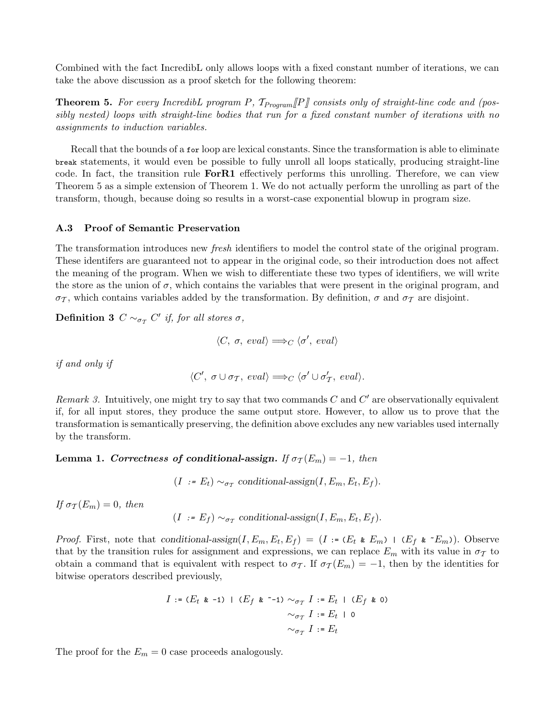Combined with the fact IncredibL only allows loops with a fixed constant number of iterations, we can take the above discussion as a proof sketch for the following theorem:

**Theorem 5.** For every IncredibL program P,  $\tau_{Program}[\![P]\!]$  consists only of straight-line code and (possibly nested) loops with straight-line bodies that run for a fixed constant number of iterations with no assignments to induction variables.

Recall that the bounds of a for loop are lexical constants. Since the transformation is able to eliminate break statements, it would even be possible to fully unroll all loops statically, producing straight-line code. In fact, the transition rule ForR1 effectively performs this unrolling. Therefore, we can view Theorem 5 as a simple extension of Theorem 1. We do not actually perform the unrolling as part of the transform, though, because doing so results in a worst-case exponential blowup in program size.

#### A.3 Proof of Semantic Preservation

The transformation introduces new *fresh* identifiers to model the control state of the original program. These identifers are guaranteed not to appear in the original code, so their introduction does not affect the meaning of the program. When we wish to differentiate these two types of identifiers, we will write the store as the union of  $\sigma$ , which contains the variables that were present in the original program, and  $\sigma_{\mathcal{T}}$ , which contains variables added by the transformation. By definition,  $\sigma$  and  $\sigma_{\mathcal{T}}$  are disjoint.

Definition 3  $C \sim_{\sigma_{\mathcal{T}}} C'$  if, for all stores  $\sigma$ ,

$$
\langle C, \sigma, \mathit{eval} \rangle \Longrightarrow_C \langle \sigma', \mathit{eval} \rangle
$$

if and only if

$$
\langle C', \sigma \cup \sigma_T, \; eval \rangle \Longrightarrow_C \langle \sigma' \cup \sigma'_T, \; eval \rangle.
$$

Remark 3. Intuitively, one might try to say that two commands  $C$  and  $C'$  are observationally equivalent if, for all input stores, they produce the same output store. However, to allow us to prove that the transformation is semantically preserving, the definition above excludes any new variables used internally by the transform.

Lemma 1. Correctness of conditional-assign. If  $\sigma_T(E_m) = -1$ , then

 $(I := E_t) \sim_{\sigma_{\mathcal{T}}} \text{conditional-assign}(I, E_m, E_t, E_f).$ 

If  $\sigma_{\mathcal{T}}(E_m) = 0$ , then

$$
(I := E_f) \sim_{\sigma_{\mathcal{I}}} conditional\text{-}assign(I, E_m, E_t, E_f).
$$

*Proof.* First, note that conditional-assign $(I, E_m, E_t, E_f) = (I := (E_t \cdot E_m) + (E_f \cdot E_m))$ . Observe that by the transition rules for assignment and expressions, we can replace  $E_m$  with its value in  $\sigma_T$  to obtain a command that is equivalent with respect to  $\sigma_T$ . If  $\sigma_T(E_m) = -1$ , then by the identities for bitwise operators described previously,

$$
I := (E_t \& -1) \mid (E_f \& \sim -1) \sim_{\sigma_T} I := E_t \mid (E_f \& 0)
$$
\n
$$
\sim_{\sigma_T} I := E_t \mid 0
$$
\n
$$
\sim_{\sigma_T} I := E_t
$$

The proof for the  $E_m = 0$  case proceeds analogously.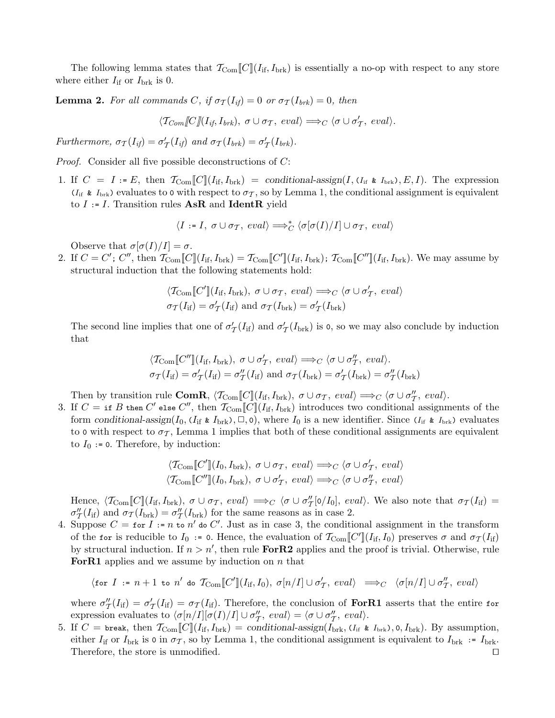The following lemma states that  $\mathcal{T}_{\text{Com}}[\mathcal{C}](I_{\text{if}}, I_{\text{brk}})$  is essentially a no-op with respect to any store where either  $I_{\text{if}}$  or  $I_{\text{brk}}$  is 0.

**Lemma 2.** For all commands C, if  $\sigma_T(I_{if}) = 0$  or  $\sigma_T(I_{brk}) = 0$ , then

$$
\langle \mathcal{T}_{Com}[[C]](I_{if}, I_{brk}), \sigma \cup \sigma_{\mathcal{T}}, \text{ } eval \rangle \Longrightarrow_C \langle \sigma \cup \sigma_{\mathcal{T}}', \text{ } eval \rangle.
$$

Furthermore,  $\sigma_T(I_{if}) = \sigma'_T(I_{if})$  and  $\sigma_T(I_{brk}) = \sigma'_T(I_{brk})$ .

Proof. Consider all five possible deconstructions of C:

1. If  $C = I := E$ , then  $\mathcal{T}_{\text{Com}}[C][I_{\text{if}}, I_{\text{brk}}] = conditional-assign(I, (I_{\text{if}} \& I_{\text{brk}}), E, I)$ . The expression ( $I_{\text{if}}$  &  $I_{\text{brk}}$ ) evaluates to 0 with respect to  $\sigma_T$ , so by Lemma 1, the conditional assignment is equivalent to  $I := I$ . Transition rules  $\text{AsR}$  and IdentR yield

$$
\langle I:=I,\; \sigma\cup\sigma_T,\; eval\rangle\Longrightarrow_C^* \langle \sigma[\sigma(I)/I]\cup\sigma_T,\; eval\rangle
$$

Observe that  $\sigma[\sigma(I)/I] = \sigma$ .

2. If  $C = C'$ ;  $C''$ , then  $\mathcal{T}_{\text{Com}}[[C]](I_{\text{if}}, I_{\text{brk}}) = \mathcal{T}_{\text{Com}}[[C']][I_{\text{if}}, I_{\text{brk}})$ ;  $\mathcal{T}_{\text{Com}}[[C'']][I_{\text{if}}, I_{\text{brk}})$ . We may assume by structural induction that the following statements hold:

$$
\langle \mathcal{T}_{\text{Com}}[\![C']\!](I_{\text{if}}, I_{\text{brk}}), \sigma \cup \sigma_{\mathcal{T}}, \text{ } eval \rangle \Longrightarrow_C \langle \sigma \cup \sigma_{\mathcal{T}}', \text{ } eval \rangle
$$

$$
\sigma_{\mathcal{T}}(I_{\text{if}}) = \sigma_{\mathcal{T}}'(I_{\text{if}}) \text{ and } \sigma_{\mathcal{T}}(I_{\text{brk}}) = \sigma_{\mathcal{T}}'(I_{\text{brk}})
$$

The second line implies that one of  $\sigma'_{\mathcal{T}}(I_{\text{if}})$  and  $\sigma'_{\mathcal{T}}(I_{\text{brk}})$  is 0, so we may also conclude by induction that

$$
\langle \mathcal{T}_{\text{Com}}[[C'']](I_{\text{if}}, I_{\text{brk}}), \sigma \cup \sigma'_{\mathcal{T}}, \text{ } eval \rangle \Longrightarrow_C \langle \sigma \cup \sigma''_{\mathcal{T}}, \text{ } eval \rangle.
$$

$$
\sigma_{\mathcal{T}}(I_{\text{if}}) = \sigma'_{\mathcal{T}}(I_{\text{if}}) = \sigma''_{\mathcal{T}}(I_{\text{if}}) \text{ and } \sigma_{\mathcal{T}}(I_{\text{brk}}) = \sigma'_{\mathcal{T}}(I_{\text{brk}}) = \sigma''_{\mathcal{T}}(I_{\text{brk}})
$$

Then by transition rule ComR,  $\langle \mathcal{T}_{\text{Com}}[[C]](I_{\text{if}}, I_{\text{brk}}), \sigma \cup \sigma_{\mathcal{T}}, \text{ eval} \rangle \Longrightarrow_C \langle \sigma \cup \sigma_{\mathcal{T}}^{\prime\prime}, \text{ eval} \rangle.$ 

3. If  $C =$  if B then C' else C'', then  $\overline{T_{\text{Com}}}\llbracket \overline{C}\rrbracket (I_{\text{if}}, I_{\text{brk}})$  introduces two conditional assignments of the form conditional-assign( $I_0$ ,  $(I_{\text{if}} \& I_{\text{brk}})$ ,  $\Box$ , 0), where  $I_0$  is a new identifier. Since  $(I_{\text{if}} \& I_{\text{brk}})$  evaluates to 0 with respect to  $\sigma_T$ , Lemma 1 implies that both of these conditional assignments are equivalent to  $I_0$  := 0. Therefore, by induction:

$$
\langle \mathcal{T}_{\text{Com}}[\![C']\!](I_0, I_{\text{brk}}), \sigma \cup \sigma_{\mathcal{T}}, \text{ } eval \rangle \Longrightarrow_C \langle \sigma \cup \sigma'_{\mathcal{T}}, \text{ } eval \rangle
$$
  

$$
\langle \mathcal{T}_{\text{Com}}[\![C'']\!](I_0, I_{\text{brk}}), \sigma \cup \sigma'_{\mathcal{T}}, \text{ } eval \rangle \Longrightarrow_C \langle \sigma \cup \sigma''_{\mathcal{T}}, \text{ } eval \rangle
$$

Hence,  $\langle \mathcal{T}_{\text{Com}}[[C]](I_{\text{if}}, I_{\text{brk}}), \sigma \cup \sigma_{\mathcal{T}}, eval \rangle \Longrightarrow_C \langle \sigma \cup \sigma''_{\mathcal{T}}[\text{O}/I_0], eval \rangle$ . We also note that  $\sigma_{\mathcal{T}}(I_{\text{if}}) =$  $\sigma''_T(I_{\text{if}})$  and  $\sigma_T(I_{\text{brk}}) = \sigma''_T(I_{\text{brk}})$  for the same reasons as in case 2.

4. Suppose  $C =$  for  $I := n$  to  $n'$  do  $C'$ . Just as in case 3, the conditional assignment in the transform of the for is reducible to  $I_0$ : = 0. Hence, the evaluation of  $\mathcal{T}_{\text{Com}}[\![C']\!](I_{\text{if}}, I_0)$  preserves  $\sigma$  and  $\sigma_{\mathcal{T}}(I_{\text{if}})$ by structural induction. If  $n > n'$ , then rule **ForR2** applies and the proof is trivial. Otherwise, rule ForR1 applies and we assume by induction on  $n$  that

$$
\langle \text{for } I \; \coloneqq \; n+1 \; \text{to} \; n' \; \text{do} \; \mathcal{T}_{\text{Com}}[\![C']\!](I_{\text{if}}, I_0), \; \sigma[n/I] \cup \sigma'_T, \; eval \rangle \implies_C \; \langle \sigma[n/I] \cup \sigma''_T, \; eval \rangle
$$

where  $\sigma''_T(I_{\text{if}}) = \sigma'_T(I_{\text{if}}) = \sigma_T(I_{\text{if}})$ . Therefore, the conclusion of **ForR1** asserts that the entire for expression evaluates to  $\langle \sigma[n/I][\sigma(I)/I] \cup \sigma''_T$ , eval $\rangle = \langle \sigma \cup \sigma''_T$ , eval).

5. If  $C =$  break, then  $\mathcal{T}_{\text{Com}}[C](I_{\text{if}}, I_{\text{brk}}) = conditional\text{-}assign(I_{\text{brk}}, (I_{\text{if}} \& I_{\text{brk}}), 0, I_{\text{brk}})$ . By assumption, either  $I_{if}$  or  $I_{brk}$  is 0 in  $\sigma_T$ , so by Lemma 1, the conditional assignment is equivalent to  $I_{brk}$  :=  $I_{brk}$ . Therefore, the store is unmodified.  $\Box$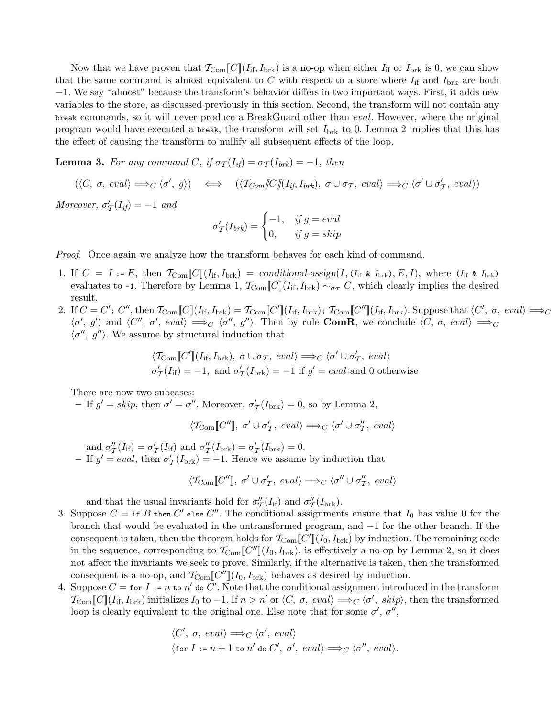Now that we have proven that  $\mathcal{T}_{\text{Com}}[\![C]\!](I_{\text{if}}, I_{\text{brk}})$  is a no-op when either  $I_{\text{if}}$  or  $I_{\text{brk}}$  is 0, we can show that the same command is almost equivalent to C with respect to a store where  $I_{if}$  and  $I_{brk}$  are both −1. We say "almost" because the transform's behavior differs in two important ways. First, it adds new variables to the store, as discussed previously in this section. Second, the transform will not contain any break commands, so it will never produce a BreakGuard other than eval. However, where the original program would have executed a break, the transform will set  $I_{\text{brk}}$  to 0. Lemma 2 implies that this has the effect of causing the transform to nullify all subsequent effects of the loop.

**Lemma 3.** For any command C, if  $\sigma_T(I_{if}) = \sigma_T(I_{brk}) = -1$ , then

 $(\langle C, \sigma, \text{ eval} \rangle \Longrightarrow_C \langle \sigma', g \rangle) \iff (\langle \mathcal{T}_{Com}[[C]](I_{if}, I_{brk}), \sigma \cup \sigma_T, \text{ eval} \rangle \Longrightarrow_C \langle \sigma' \cup \sigma_T', \text{ eval} \rangle)$ 

Moreover,  $\sigma'_T(I_{if}) = -1$  and

$$
\sigma'_T(I_{brk}) = \begin{cases}\n-1, & if g = eval \\
0, & if g = skip\n\end{cases}
$$

Proof. Once again we analyze how the transform behaves for each kind of command.

- 1. If  $C = I := E$ , then  $\mathcal{T}_{\text{Com}}[[C]](I_{\text{if}}, I_{\text{brk}}) = conditional\text{-}assign(I, (I_{\text{if}} \& I_{\text{brk}}), E, I)$ , where  $(I_{\text{if}} \& I_{\text{brk}})$ evaluates to -1. Therefore by Lemma 1,  $\mathcal{T}_{Com}[\![C]\!](I_{if}, I_{brk}) \sim_{\sigma_{\mathcal{T}}} C$ , which clearly implies the desired result.
- 2. If  $C = C'$ ;  $C''$ , then  $\mathcal{T}_{\text{Com}}[[C]](I_{\text{if}}, I_{\text{brk}}) = \mathcal{T}_{\text{Com}}[[C']][I_{\text{if}}, I_{\text{brk}})$ ;  $\mathcal{T}_{\text{Com}}[[C'']][I_{\text{if}}, I_{\text{brk}})$ . Suppose that  $\langle C', \sigma, eval \rangle \Longrightarrow_C$  $\langle \sigma', g' \rangle$  and  $\langle C'', \sigma', eval \rangle \Longrightarrow_C \langle \sigma'', g'' \rangle$ . Then by rule **ComR**, we conclude  $\langle C, \sigma, eval \rangle \Longrightarrow_C$  $\langle \sigma'', g'' \rangle$ . We assume by structural induction that

$$
\langle T_{\text{Com}}[[C']] (I_{\text{if}}, I_{\text{brk}}), \sigma \cup \sigma_T, \text{ eval} \rangle \Longrightarrow_C \langle \sigma' \cup \sigma'_T, \text{ eval} \rangle
$$
  

$$
\sigma'_T(I_{\text{if}}) = -1, \text{ and } \sigma'_T(I_{\text{brk}}) = -1 \text{ if } g' = \text{eval} \text{ and } 0 \text{ otherwise}
$$

There are now two subcases:

- If  $g' = skip$ , then  $\sigma' = \sigma''$ . Moreover,  $\sigma'_{\mathcal{I}}(I_{\text{brk}}) = 0$ , so by Lemma 2,

$$
\langle \mathcal{T}_{\text{Com}}[\![C'']\!], \sigma' \cup \sigma'_{\mathcal{T}}, \; eval \rangle \Longrightarrow_C \langle \sigma' \cup \sigma''_{\mathcal{T}}, \; eval \rangle
$$

and  $\sigma''_T(I_{\text{if}}) = \sigma'_T(I_{\text{if}})$  and  $\sigma''_T(I_{\text{brk}}) = \sigma'_T(I_{\text{brk}}) = 0$ . – If  $g' = eval$ , then  $\sigma'_T(I_{\text{brk}}) = -1$ . Hence we assume by induction that

$$
\langle \mathcal{T}_{\text{Com}}[\![C'']\!], \sigma' \cup \sigma'_{\mathcal{T}}, \; eval \rangle \Longrightarrow_C \langle \sigma'' \cup \sigma''_{\mathcal{T}}, \; eval \rangle
$$

and that the usual invariants hold for  $\sigma''_T(I_{\text{if}})$  and  $\sigma''_T(I_{\text{brk}})$ .

- 3. Suppose  $C = \text{if } B \text{ then } C' \text{ else } C''$ . The conditional assignments ensure that  $I_0$  has value 0 for the branch that would be evaluated in the untransformed program, and −1 for the other branch. If the consequent is taken, then the theorem holds for  $\mathcal{T}_{\text{Com}}[\![\vec{C'}]\!](\vec{I}_0, I_{\text{brk}})$  by induction. The remaining code in the sequence, corresponding to  $\mathcal{T}_{\text{Com}}[\![C'']\!](I_0, I_{\text{brk}})$ , is effectively a no-op by Lemma 2, so it does not affect the invariants we seek to prove. Similarly, if the alternative is taken, then the transformed consequent is a no-op, and  $\mathcal{T}_{\text{Com}}[[C'']](I_0, I_{\text{brk}})$  behaves as desired by induction.
- 4. Suppose  $C =$  for  $I := n$  to  $n'$  do  $C'$ . Note that the conditional assignment introduced in the transform  $\widetilde{\mathcal{I}_{\text{Com}}}[[C]](\mathcal{I}_{\text{if}}, \mathcal{I}_{\text{brk}})$  initializes  $I_0$  to  $-1$ . If  $n > n'$  or  $\langle C, \sigma, \text{ eval} \rangle \Longrightarrow_C \langle \sigma', \text{ skip} \rangle$ , then the transformed loop is clearly equivalent to the original one. Else note that for some  $\sigma'$ ,  $\sigma''$ ,

$$
\langle C', \sigma, \text{ eval} \rangle \Longrightarrow_C \langle \sigma', \text{ eval} \rangle
$$
  

$$
\langle \text{for } I := n + 1 \text{ to } n' \text{ do } C', \sigma', \text{ eval} \rangle \Longrightarrow_C \langle \sigma'', \text{ eval} \rangle.
$$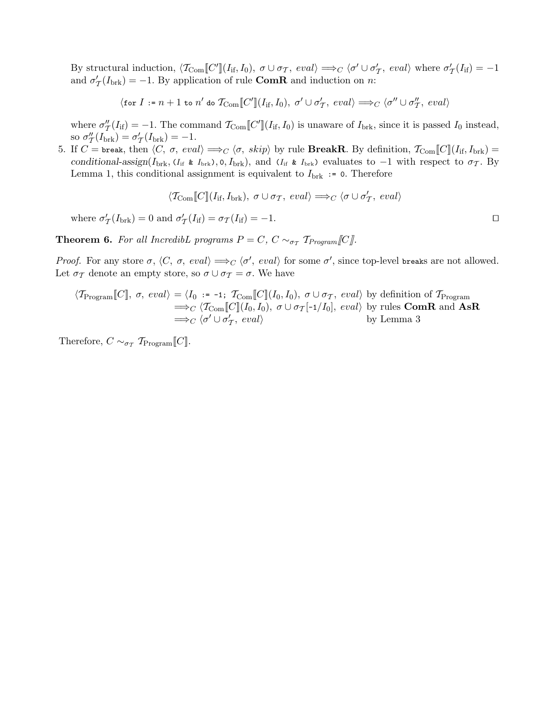By structural induction,  $\langle \mathcal{T}_{\text{Com}}[[C']](I_{\text{if}}, I_0), \sigma \cup \sigma_{\mathcal{T}}, \text{eval} \rangle \Longrightarrow_C \langle \sigma' \cup \sigma'_{\mathcal{T}}, \text{eval} \rangle$  where  $\sigma'_{\mathcal{T}}(I_{\text{if}}) = -1$ and  $\sigma'_{\mathcal{T}}(I_{\text{brk}}) = -1$ . By application of rule **ComR** and induction on n:

 $\langle \text{for } I := n + 1 \text{ to } n' \text{ do } \mathcal{T}_{\text{Com}}[\![C']\!](I_{\text{if}}, I_0), \ \sigma' \cup \sigma'_{\mathcal{T}}, \ eval \rangle \Longrightarrow_C \langle \sigma'' \cup \sigma''_{\mathcal{T}}, \ eval \rangle$ 

where  $\sigma''_T(I_{\text{if}}) = -1$ . The command  $\mathcal{T}_{\text{Com}}[\![C']\!](I_{\text{if}}, I_0)$  is unaware of  $I_{\text{brk}}$ , since it is passed  $I_0$  instead, so  $\sigma''_T(I_{\text{brk}}) = \sigma'_T(I_{\text{brk}}) = -1.$ 

5. If  $C =$  break, then  $\langle C, \sigma, eval \rangle \Longrightarrow_C \langle \sigma, skip \rangle$  by rule **BreakR**. By definition,  $\mathcal{T}_{Com}[[C]](I_{if}, I_{brk}) =$ conditional-assign( $I_{\text{brk}}$ ,  $(I_{\text{if}} \& I_{\text{brk}})$ ,  $(0, I_{\text{brk}})$ , and  $(I_{\text{if}} \& I_{\text{brk}})$  evaluates to  $-1$  with respect to  $\sigma_{\mathcal{T}}$ . By Lemma 1, this conditional assignment is equivalent to  $I_{\text{brk}}$  := 0. Therefore

$$
\langle \mathcal{T}_{\mathrm{Com}}[\![C]\!](I_{\mathrm{if}},I_{\mathrm{brk}}),\;\sigma\cup\sigma_{\mathcal{T}},\;eval\rangle\Longrightarrow_C\langle \sigma\cup\sigma'_{\mathcal{T}},\;eval\rangle
$$

where  $\sigma'_{\mathcal{T}}(I_{\text{brk}}) = 0$  and  $\sigma'_{\mathcal{T}}(I_{\text{if}}) = \sigma_{\mathcal{T}}(I_{\text{if}}) = -1$ .

**Theorem 6.** For all IncredibL programs  $P = C$ ,  $C \sim_{\sigma_{\mathcal{T}}} T_{Program}[[C]].$ 

Proof. For any store  $\sigma$ ,  $\langle C, \sigma, eval \rangle \Longrightarrow_C \langle \sigma', eval \rangle$  for some  $\sigma'$ , since top-level breaks are not allowed. Let  $\sigma_T$  denote an empty store, so  $\sigma \cup \sigma_T = \sigma$ . We have

$$
\langle \mathcal{T}_{\text{Program}}[\hspace{-0.3ex}[ C]\hspace{-0.3ex}], \sigma, \text{ eval} \rangle = \langle I_0 := -1; \mathcal{T}_{\text{Com}}[\hspace{-0.3ex}[ C]\hspace{-0.3ex}][(I_0, I_0), \sigma \cup \sigma_{\mathcal{T}}, \text{ eval} \rangle \text{ by definition of } \mathcal{T}_{\text{Program}} \longrightarrow_C \langle \mathcal{T}_{\text{Com}}[\hspace{-0.3ex}[ C]\hspace{-0.3ex}][(I_0, I_0), \sigma \cup \sigma_{\mathcal{T}}[\text{-1}/I_0], \text{ eval} \rangle \text{ by rules } \text{ComR} \text{ and } \text{AsR} \longrightarrow_C \langle \sigma' \cup \sigma'_{\mathcal{T}}, \text{ eval} \rangle \text{ by Lemma 3}
$$

Therefore,  $C \sim_{\sigma_{\mathcal{T}}} \mathcal{T}_{\text{Program}}[C]$ .